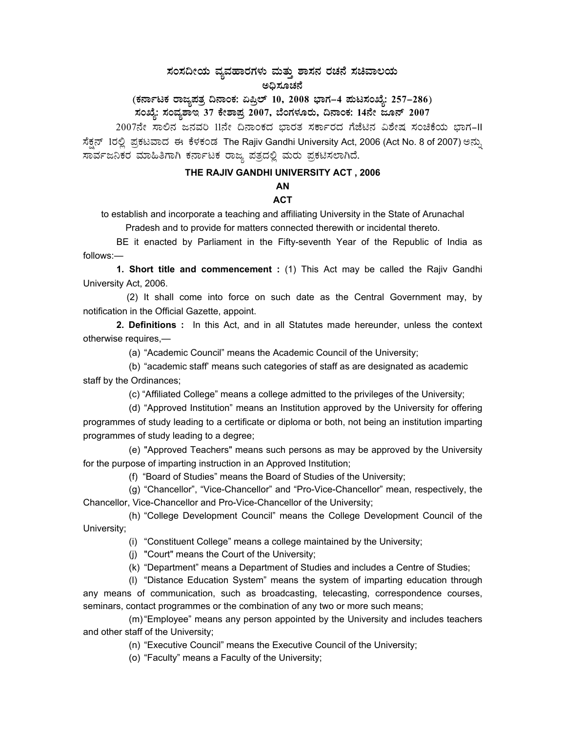## ಸಂಸದೀಯ ವ್ಯವಹಾರಗಳು ಮತ್ತು ಶಾಸನ ರಚನೆ ಸಚಿವಾಲಯ ಅಧಿಸೂಚನೆ

# (ಕರ್ನಾಟಕ ರಾಜ್ಯಪತ್ರ ದಿನಾಂಕ: ಏಪ್ರಿಲ್ 10, 2008 ಭಾಗ–4 **ಪುಟಸಂಖ್ಯೆ: 257–286**)

ಸಂಖ್ಯೆ: ಸಂವ್ಯಶಾಇ 37 ಕೇಶಾಪ್ರ 2007, ಬೆಂಗಳೂರು, ದಿನಾಂಕ: 14ನೇ ಜೂನ್ 2007

2007ನೇ ಸಾಲಿನ ಜನವರಿ 11ನೇ ದಿನಾಂಕದ ಭಾರತ ಸರ್ಕಾರದ ಗೆಜೆಟಿನ ವಿಶೇಷ ಸಂಚಿಕೆಯ ಭಾಗ-II ಸೆಕ್ಷನ್ 1ರಲ್ಲಿ ಪ್ರಕಟವಾದ ಈ ಕೆಳಕಂಡ The Rajiv Gandhi University Act, 2006 (Act No. 8 of 2007) ಅನ್ನು ಸಾರ್ವಜನಿಕರ ಮಾಹಿತಿಗಾಗಿ ಕರ್ನಾಟಕ ರಾಜ್ಯ ಪತ್ರದಲ್ಲಿ ಮರು ಪ್ರಕಟಿಸಲಾಗಿದೆ.

### **THE RAJIV GANDHI UNIVERSITY ACT , 2006**

# **AN**

### **ACT**

to establish and incorporate a teaching and affiliating University in the State of Arunachal Pradesh and to provide for matters connected therewith or incidental thereto.

 BE it enacted by Parliament in the Fifty-seventh Year of the Republic of India as follows:—

 **1. Short title and commencement :** (1) This Act may be called the Rajiv Gandhi University Act, 2006.

 (2) It shall come into force on such date as the Central Government may, by notification in the Official Gazette, appoint.

 **2. Definitions :** In this Act, and in all Statutes made hereunder, unless the context otherwise requires,—

(a) "Academic Council" means the Academic Council of the University;

 (b) "academic staff' means such categories of staff as are designated as academic staff by the Ordinances;

(c) "Affiliated College" means a college admitted to the privileges of the University;

 (d) "Approved Institution" means an Institution approved by the University for offering programmes of study leading to a certificate or diploma or both, not being an institution imparting programmes of study leading to a degree;

 (e) "Approved Teachers" means such persons as may be approved by the University for the purpose of imparting instruction in an Approved Institution;

(f) "Board of Studies" means the Board of Studies of the University;

 (g) "Chancellor", "Vice-Chancellor" and "Pro-Vice-Chancellor" mean, respectively, the Chancellor, Vice-Chancellor and Pro-Vice-Chancellor of the University;

 (h) "College Development Council" means the College Development Council of the University;

(i) "Constituent College" means a college maintained by the University;

(j) "Court" means the Court of the University;

(k) "Department" means a Department of Studies and includes a Centre of Studies;

 (l) "Distance Education System" means the system of imparting education through any means of communication, such as broadcasting, telecasting, correspondence courses, seminars, contact programmes or the combination of any two or more such means;

 (m) "Employee" means any person appointed by the University and includes teachers and other staff of the University;

(n) "Executive Council" means the Executive Council of the University;

(o) "Faculty" means a Faculty of the University;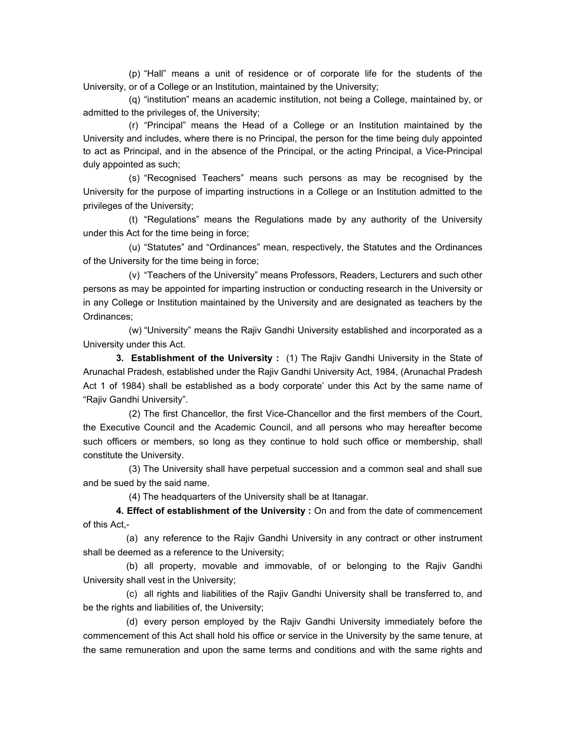(p) "Hall" means a unit of residence or of corporate life for the students of the University, or of a College or an Institution, maintained by the University;

 (q) "institution" means an academic institution, not being a College, maintained by, or admitted to the privileges of, the University;

 (r) "Principal" means the Head of a College or an Institution maintained by the University and includes, where there is no Principal, the person for the time being duly appointed to act as Principal, and in the absence of the Principal, or the acting Principal, a Vice-Principal duly appointed as such;

 (s) "Recognised Teachers" means such persons as may be recognised by the University for the purpose of imparting instructions in a College or an Institution admitted to the privileges of the University;

 (t) "Regulations" means the Regulations made by any authority of the University under this Act for the time being in force;

 (u) "Statutes" and "Ordinances" mean, respectively, the Statutes and the Ordinances of the University for the time being in force;

 (v) "Teachers of the University" means Professors, Readers, Lecturers and such other persons as may be appointed for imparting instruction or conducting research in the University or in any College or Institution maintained by the University and are designated as teachers by the Ordinances;

 (w) "University" means the Rajiv Gandhi University established and incorporated as a University under this Act.

**3. Establishment of the University :** (1) The Rajiv Gandhi University in the State of Arunachal Pradesh, established under the Rajiv Gandhi University Act, 1984, (Arunachal Pradesh Act 1 of 1984) shall be established as a body corporate' under this Act by the same name of "Rajiv Gandhi University".

 (2) The first Chancellor, the first Vice-Chancellor and the first members of the Court, the Executive Council and the Academic Council, and all persons who may hereafter become such officers or members, so long as they continue to hold such office or membership, shall constitute the University.

 (3) The University shall have perpetual succession and a common seal and shall sue and be sued by the said name.

(4) The headquarters of the University shall be at Itanagar.

 **4. Effect of establishment of the University :** On and from the date of commencement of this Act,-

(a) any reference to the Rajiv Gandhi University in any contract or other instrument shall be deemed as a reference to the University;

(b) all property, movable and immovable, of or belonging to the Rajiv Gandhi University shall vest in the University;

(c) all rights and liabilities of the Rajiv Gandhi University shall be transferred to, and be the rights and liabilities of, the University;

(d) every person employed by the Rajiv Gandhi University immediately before the commencement of this Act shall hold his office or service in the University by the same tenure, at the same remuneration and upon the same terms and conditions and with the same rights and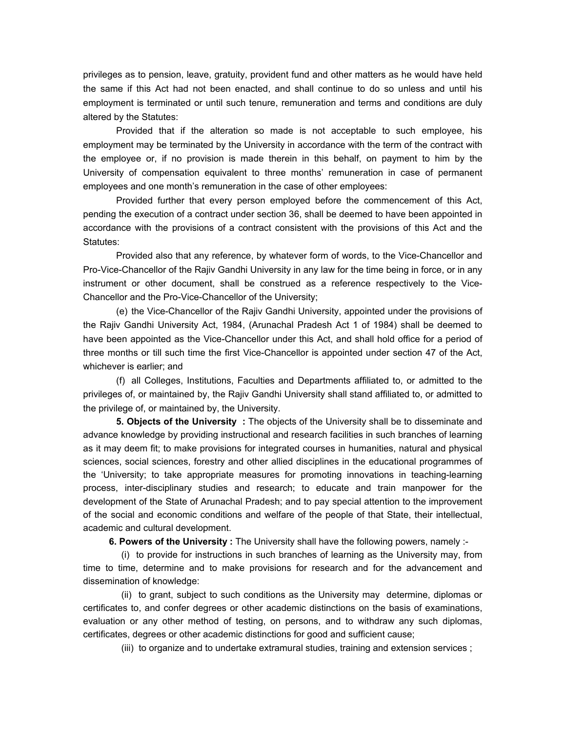privileges as to pension, leave, gratuity, provident fund and other matters as he would have held the same if this Act had not been enacted, and shall continue to do so unless and until his employment is terminated or until such tenure, remuneration and terms and conditions are duly altered by the Statutes:

Provided that if the alteration so made is not acceptable to such employee, his employment may be terminated by the University in accordance with the term of the contract with the employee or, if no provision is made therein in this behalf, on payment to him by the University of compensation equivalent to three months' remuneration in case of permanent employees and one month's remuneration in the case of other employees:

Provided further that every person employed before the commencement of this Act, pending the execution of a contract under section 36, shall be deemed to have been appointed in accordance with the provisions of a contract consistent with the provisions of this Act and the Statutes:

Provided also that any reference, by whatever form of words, to the Vice-Chancellor and Pro-Vice-Chancellor of the Rajiv Gandhi University in any law for the time being in force, or in any instrument or other document, shall be construed as a reference respectively to the Vice-Chancellor and the Pro-Vice-Chancellor of the University;

 (e) the Vice-Chancellor of the Rajiv Gandhi University, appointed under the provisions of the Rajiv Gandhi University Act, 1984, (Arunachal Pradesh Act 1 of 1984) shall be deemed to have been appointed as the Vice-Chancellor under this Act, and shall hold office for a period of three months or till such time the first Vice-Chancellor is appointed under section 47 of the Act, whichever is earlier; and

 (f) all Colleges, Institutions, Faculties and Departments affiliated to, or admitted to the privileges of, or maintained by, the Rajiv Gandhi University shall stand affiliated to, or admitted to the privilege of, or maintained by, the University.

 **5. Objects of the University :** The objects of the University shall be to disseminate and advance knowledge by providing instructional and research facilities in such branches of learning as it may deem fit; to make provisions for integrated courses in humanities, natural and physical sciences, social sciences, forestry and other allied disciplines in the educational programmes of the 'University; to take appropriate measures for promoting innovations in teaching-learning process, inter-disciplinary studies and research; to educate and train manpower for the development of the State of Arunachal Pradesh; and to pay special attention to the improvement of the social and economic conditions and welfare of the people of that State, their intellectual, academic and cultural development.

 **6. Powers of the University :** The University shall have the following powers, namely :-

 (i) to provide for instructions in such branches of learning as the University may, from time to time, determine and to make provisions for research and for the advancement and dissemination of knowledge:

 (ii) to grant, subject to such conditions as the University may determine, diplomas or certificates to, and confer degrees or other academic distinctions on the basis of examinations, evaluation or any other method of testing, on persons, and to withdraw any such diplomas, certificates, degrees or other academic distinctions for good and sufficient cause;

(iii) to organize and to undertake extramural studies, training and extension services ;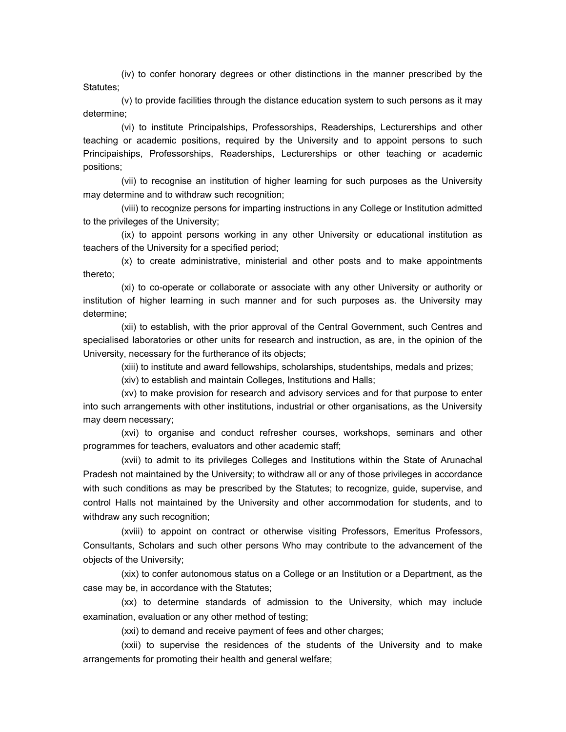(iv) to confer honorary degrees or other distinctions in the manner prescribed by the Statutes;

 (v) to provide facilities through the distance education system to such persons as it may determine;

 (vi) to institute Principalships, Professorships, Readerships, Lecturerships and other teaching or academic positions, required by the University and to appoint persons to such Principaiships, Professorships, Readerships, Lecturerships or other teaching or academic positions;

 (vii) to recognise an institution of higher learning for such purposes as the University may determine and to withdraw such recognition;

 (viii) to recognize persons for imparting instructions in any College or Institution admitted to the privileges of the University;

 (ix) to appoint persons working in any other University or educational institution as teachers of the University for a specified period;

 (x) to create administrative, ministerial and other posts and to make appointments thereto;

 (xi) to co-operate or collaborate or associate with any other University or authority or institution of higher learning in such manner and for such purposes as. the University may determine;

 (xii) to establish, with the prior approval of the Central Government, such Centres and specialised laboratories or other units for research and instruction, as are, in the opinion of the University, necessary for the furtherance of its objects;

(xiii) to institute and award fellowships, scholarships, studentships, medals and prizes;

(xiv) to establish and maintain Colleges, Institutions and Halls;

 (xv) to make provision for research and advisory services and for that purpose to enter into such arrangements with other institutions, industrial or other organisations, as the University may deem necessary;

 (xvi) to organise and conduct refresher courses, workshops, seminars and other programmes for teachers, evaluators and other academic staff;

 (xvii) to admit to its privileges Colleges and Institutions within the State of Arunachal Pradesh not maintained by the University; to withdraw all or any of those privileges in accordance with such conditions as may be prescribed by the Statutes; to recognize, guide, supervise, and control Halls not maintained by the University and other accommodation for students, and to withdraw any such recognition;

 (xviii) to appoint on contract or otherwise visiting Professors, Emeritus Professors, Consultants, Scholars and such other persons Who may contribute to the advancement of the objects of the University;

 (xix) to confer autonomous status on a College or an Institution or a Department, as the case may be, in accordance with the Statutes;

 (xx) to determine standards of admission to the University, which may include examination, evaluation or any other method of testing;

(xxi) to demand and receive payment of fees and other charges;

 (xxii) to supervise the residences of the students of the University and to make arrangements for promoting their health and general welfare;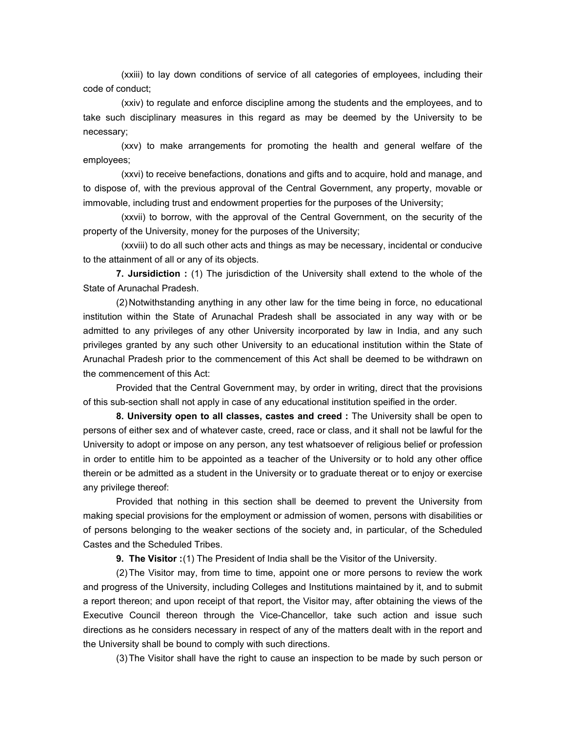(xxiii) to lay down conditions of service of all categories of employees, including their code of conduct;

 (xxiv) to regulate and enforce discipline among the students and the employees, and to take such disciplinary measures in this regard as may be deemed by the University to be necessary;

 (xxv) to make arrangements for promoting the health and general welfare of the employees;

 (xxvi) to receive benefactions, donations and gifts and to acquire, hold and manage, and to dispose of, with the previous approval of the Central Government, any property, movable or immovable, including trust and endowment properties for the purposes of the University;

 (xxvii) to borrow, with the approval of the Central Government, on the security of the property of the University, money for the purposes of the University;

 (xxviii) to do all such other acts and things as may be necessary, incidental or conducive to the attainment of all or any of its objects.

 **7. Jursidiction :** (1) The jurisdiction of the University shall extend to the whole of the State of Arunachal Pradesh.

 (2) Notwithstanding anything in any other law for the time being in force, no educational institution within the State of Arunachal Pradesh shall be associated in any way with or be admitted to any privileges of any other University incorporated by law in India, and any such privileges granted by any such other University to an educational institution within the State of Arunachal Pradesh prior to the commencement of this Act shall be deemed to be withdrawn on the commencement of this Act:

 Provided that the Central Government may, by order in writing, direct that the provisions of this sub-section shall not apply in case of any educational institution speified in the order.

 **8. University open to all classes, castes and creed :** The University shall be open to persons of either sex and of whatever caste, creed, race or class, and it shall not be lawful for the University to adopt or impose on any person, any test whatsoever of religious belief or profession in order to entitle him to be appointed as a teacher of the University or to hold any other office therein or be admitted as a student in the University or to graduate thereat or to enjoy or exercise any privilege thereof:

 Provided that nothing in this section shall be deemed to prevent the University from making special provisions for the employment or admission of women, persons with disabilities or of persons belonging to the weaker sections of the society and, in particular, of the Scheduled Castes and the Scheduled Tribes.

**9. The Visitor :** (1) The President of India shall be the Visitor of the University.

 (2) The Visitor may, from time to time, appoint one or more persons to review the work and progress of the University, including Colleges and Institutions maintained by it, and to submit a report thereon; and upon receipt of that report, the Visitor may, after obtaining the views of the Executive Council thereon through the Vice-Chancellor, take such action and issue such directions as he considers necessary in respect of any of the matters dealt with in the report and the University shall be bound to comply with such directions.

(3) The Visitor shall have the right to cause an inspection to be made by such person or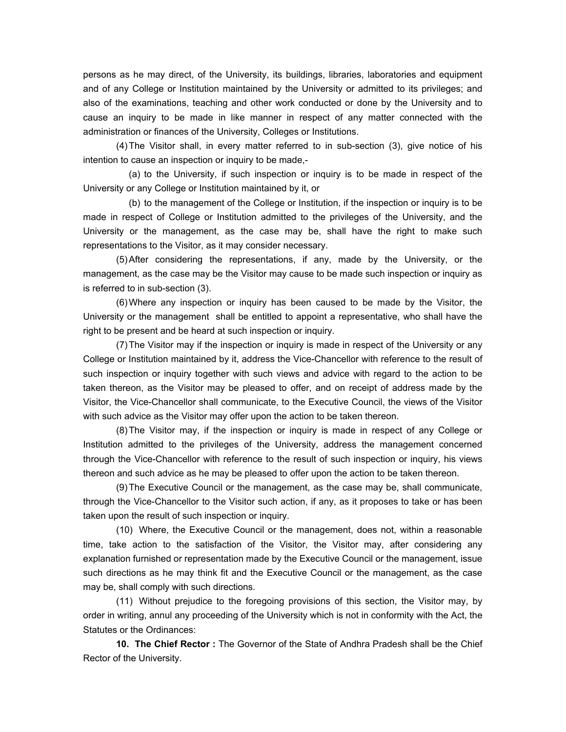persons as he may direct, of the University, its buildings, libraries, laboratories and equipment and of any College or Institution maintained by the University or admitted to its privileges; and also of the examinations, teaching and other work conducted or done by the University and to cause an inquiry to be made in like manner in respect of any matter connected with the administration or finances of the University, Colleges or Institutions.

 (4) The Visitor shall, in every matter referred to in sub-section (3), give notice of his intention to cause an inspection or inquiry to be made,-

 (a) to the University, if such inspection or inquiry is to be made in respect of the University or any College or Institution maintained by it, or

 (b) to the management of the College or Institution, if the inspection or inquiry is to be made in respect of College or Institution admitted to the privileges of the University, and the University or the management, as the case may be, shall have the right to make such representations to the Visitor, as it may consider necessary.

 (5) After considering the representations, if any, made by the University, or the management, as the case may be the Visitor may cause to be made such inspection or inquiry as is referred to in sub-section (3).

 (6) Where any inspection or inquiry has been caused to be made by the Visitor, the University or the management shall be entitled to appoint a representative, who shall have the right to be present and be heard at such inspection or inquiry.

(7) The Visitor may if the inspection or inquiry is made in respect of the University or any College or Institution maintained by it, address the Vice-Chancellor with reference to the result of such inspection or inquiry together with such views and advice with regard to the action to be taken thereon, as the Visitor may be pleased to offer, and on receipt of address made by the Visitor, the Vice-Chancellor shall communicate, to the Executive Council, the views of the Visitor with such advice as the Visitor may offer upon the action to be taken thereon.

 (8) The Visitor may, if the inspection or inquiry is made in respect of any College or Institution admitted to the privileges of the University, address the management concerned through the Vice-Chancellor with reference to the result of such inspection or inquiry, his views thereon and such advice as he may be pleased to offer upon the action to be taken thereon.

 (9) The Executive Council or the management, as the case may be, shall communicate, through the Vice-Chancellor to the Visitor such action, if any, as it proposes to take or has been taken upon the result of such inspection or inquiry.

 (10) Where, the Executive Council or the management, does not, within a reasonable time, take action to the satisfaction of the Visitor, the Visitor may, after considering any explanation furnished or representation made by the Executive Council or the management, issue such directions as he may think fit and the Executive Council or the management, as the case may be, shall comply with such directions.

 (11) Without prejudice to the foregoing provisions of this section, the Visitor may, by order in writing, annul any proceeding of the University which is not in conformity with the Act, the Statutes or the Ordinances:

 **10. The Chief Rector :** The Governor of the State of Andhra Pradesh shall be the Chief Rector of the University.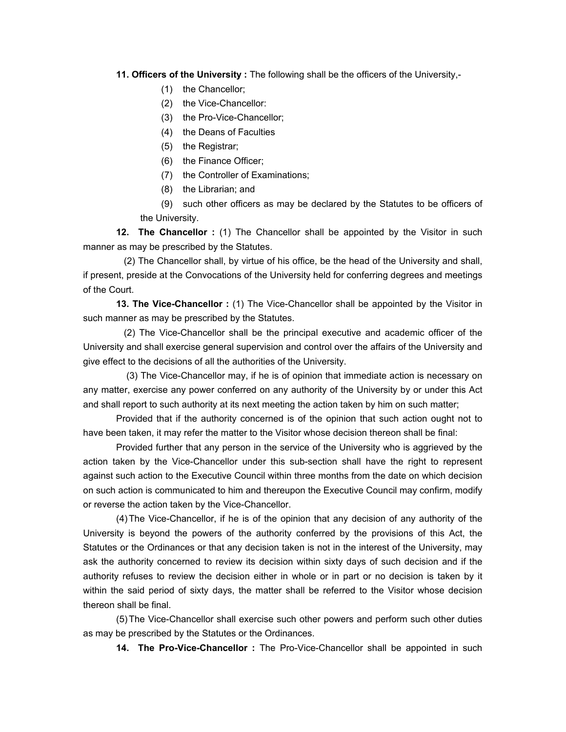### **11. Officers of the University :** The following shall be the officers of the University,-

- (1) the Chancellor;
- (2) the Vice-Chancellor:
- (3) the Pro-Vice-Chancellor;
- (4) the Deans of Faculties
- (5) the Registrar;
- (6) the Finance Officer;
- (7) the Controller of Examinations;
- (8) the Librarian; and

(9) such other officers as may be declared by the Statutes to be officers of the University.

 **12. The Chancellor :** (1) The Chancellor shall be appointed by the Visitor in such manner as may be prescribed by the Statutes.

 (2) The Chancellor shall, by virtue of his office, be the head of the University and shall, if present, preside at the Convocations of the University held for conferring degrees and meetings of the Court.

 **13. The Vice-Chancellor :** (1) The Vice-Chancellor shall be appointed by the Visitor in such manner as may be prescribed by the Statutes.

 (2) The Vice-Chancellor shall be the principal executive and academic officer of the University and shall exercise general supervision and control over the affairs of the University and give effect to the decisions of all the authorities of the University.

 (3) The Vice-Chancellor may, if he is of opinion that immediate action is necessary on any matter, exercise any power conferred on any authority of the University by or under this Act and shall report to such authority at its next meeting the action taken by him on such matter;

 Provided that if the authority concerned is of the opinion that such action ought not to have been taken, it may refer the matter to the Visitor whose decision thereon shall be final:

 Provided further that any person in the service of the University who is aggrieved by the action taken by the Vice-Chancellor under this sub-section shall have the right to represent against such action to the Executive Council within three months from the date on which decision on such action is communicated to him and thereupon the Executive Council may confirm, modify or reverse the action taken by the Vice-Chancellor.

 (4) The Vice-Chancellor, if he is of the opinion that any decision of any authority of the University is beyond the powers of the authority conferred by the provisions of this Act, the Statutes or the Ordinances or that any decision taken is not in the interest of the University, may ask the authority concerned to review its decision within sixty days of such decision and if the authority refuses to review the decision either in whole or in part or no decision is taken by it within the said period of sixty days, the matter shall be referred to the Visitor whose decision thereon shall be final.

 (5) The Vice-Chancellor shall exercise such other powers and perform such other duties as may be prescribed by the Statutes or the Ordinances.

 **14. The Pro-Vice-Chancellor :** The Pro-Vice-Chancellor shall be appointed in such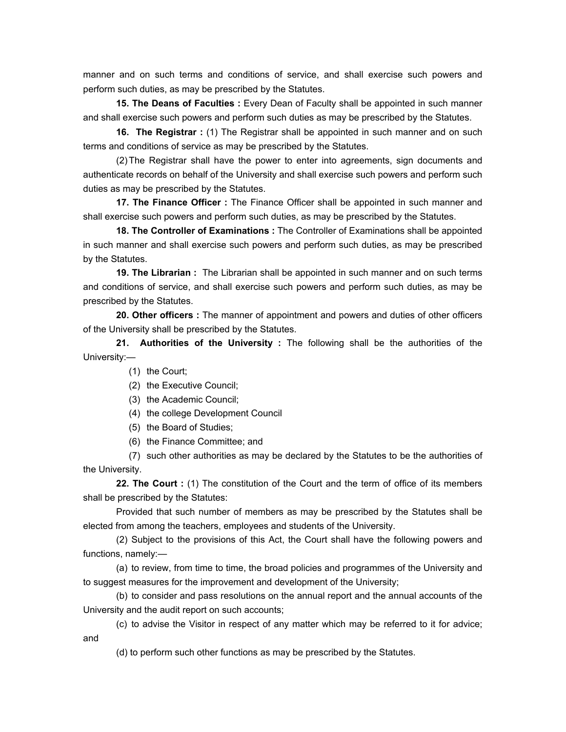manner and on such terms and conditions of service, and shall exercise such powers and perform such duties, as may be prescribed by the Statutes.

 **15. The Deans of Faculties :** Every Dean of Faculty shall be appointed in such manner and shall exercise such powers and perform such duties as may be prescribed by the Statutes.

 **16. The Registrar :** (1) The Registrar shall be appointed in such manner and on such terms and conditions of service as may be prescribed by the Statutes.

 (2) The Registrar shall have the power to enter into agreements, sign documents and authenticate records on behalf of the University and shall exercise such powers and perform such duties as may be prescribed by the Statutes.

 **17. The Finance Officer :** The Finance Officer shall be appointed in such manner and shall exercise such powers and perform such duties, as may be prescribed by the Statutes.

 **18. The Controller of Examinations :** The Controller of Examinations shall be appointed in such manner and shall exercise such powers and perform such duties, as may be prescribed by the Statutes.

 **19. The Librarian :** The Librarian shall be appointed in such manner and on such terms and conditions of service, and shall exercise such powers and perform such duties, as may be prescribed by the Statutes.

 **20. Other officers :** The manner of appointment and powers and duties of other officers of the University shall be prescribed by the Statutes.

 **21. Authorities of the University :** The following shall be the authorities of the University:—

- (1) the Court;
- (2) the Executive Council;
- (3) the Academic Council;
- (4) the college Development Council
- (5) the Board of Studies;
- (6) the Finance Committee; and

 (7) such other authorities as may be declared by the Statutes to be the authorities of the University.

 **22. The Court :** (1) The constitution of the Court and the term of office of its members shall be prescribed by the Statutes:

 Provided that such number of members as may be prescribed by the Statutes shall be elected from among the teachers, employees and students of the University.

 (2) Subject to the provisions of this Act, the Court shall have the following powers and functions, namely:—

 (a) to review, from time to time, the broad policies and programmes of the University and to suggest measures for the improvement and development of the University;

 (b) to consider and pass resolutions on the annual report and the annual accounts of the University and the audit report on such accounts;

 (c) to advise the Visitor in respect of any matter which may be referred to it for advice; and

(d) to perform such other functions as may be prescribed by the Statutes.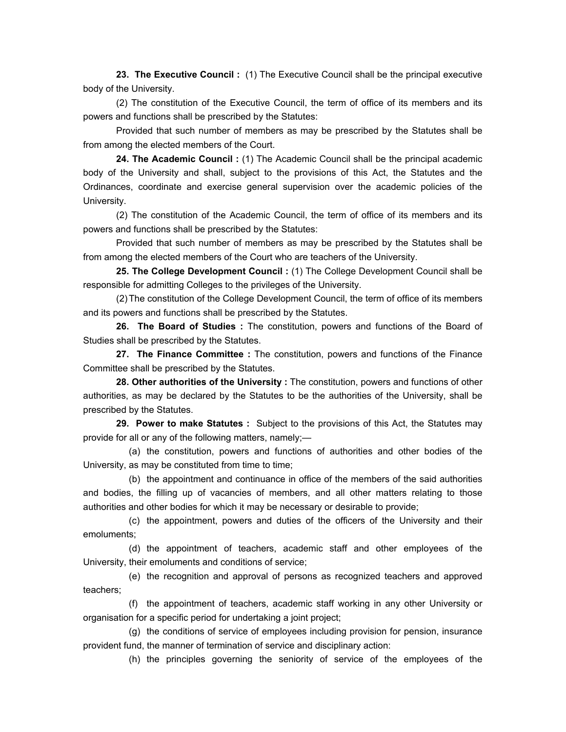**23. The Executive Council :** (1) The Executive Council shall be the principal executive body of the University.

 (2) The constitution of the Executive Council, the term of office of its members and its powers and functions shall be prescribed by the Statutes:

 Provided that such number of members as may be prescribed by the Statutes shall be from among the elected members of the Court.

 **24. The Academic Council :** (1) The Academic Council shall be the principal academic body of the University and shall, subject to the provisions of this Act, the Statutes and the Ordinances, coordinate and exercise general supervision over the academic policies of the University.

 (2) The constitution of the Academic Council, the term of office of its members and its powers and functions shall be prescribed by the Statutes:

 Provided that such number of members as may be prescribed by the Statutes shall be from among the elected members of the Court who are teachers of the University.

 **25. The College Development Council :** (1) The College Development Council shall be responsible for admitting Colleges to the privileges of the University.

 (2) The constitution of the College Development Council, the term of office of its members and its powers and functions shall be prescribed by the Statutes.

 **26. The Board of Studies :** The constitution, powers and functions of the Board of Studies shall be prescribed by the Statutes.

 **27. The Finance Committee :** The constitution, powers and functions of the Finance Committee shall be prescribed by the Statutes.

**28. Other authorities of the University :** The constitution, powers and functions of other authorities, as may be declared by the Statutes to be the authorities of the University, shall be prescribed by the Statutes.

 **29. Power to make Statutes :** Subject to the provisions of this Act, the Statutes may provide for all or any of the following matters, namely;—

 (a) the constitution, powers and functions of authorities and other bodies of the University, as may be constituted from time to time;

 (b) the appointment and continuance in office of the members of the said authorities and bodies, the filling up of vacancies of members, and all other matters relating to those authorities and other bodies for which it may be necessary or desirable to provide;

 (c) the appointment, powers and duties of the officers of the University and their emoluments;

 (d) the appointment of teachers, academic staff and other employees of the University, their emoluments and conditions of service;

 (e) the recognition and approval of persons as recognized teachers and approved teachers;

 (f) the appointment of teachers, academic staff working in any other University or organisation for a specific period for undertaking a joint project;

 (g) the conditions of service of employees including provision for pension, insurance provident fund, the manner of termination of service and disciplinary action:

(h) the principles governing the seniority of service of the employees of the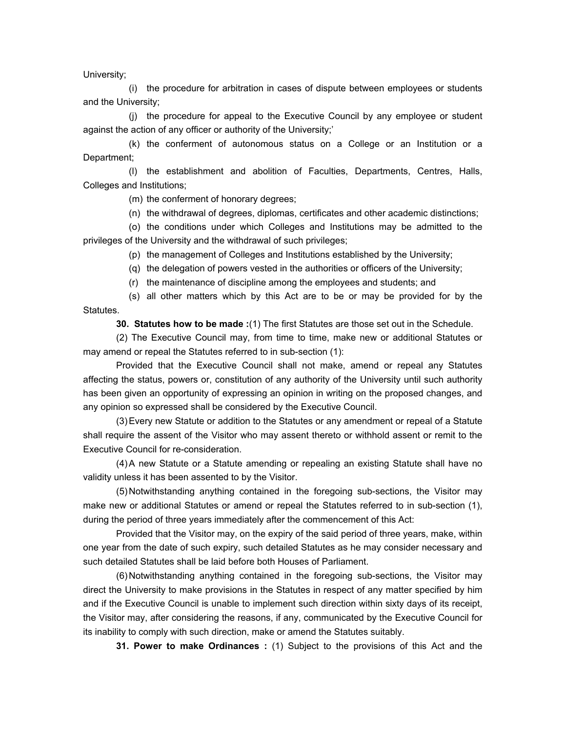University;

 (i) the procedure for arbitration in cases of dispute between employees or students and the University;

 (j) the procedure for appeal to the Executive Council by any employee or student against the action of any officer or authority of the University;'

 (k) the conferment of autonomous status on a College or an Institution or a Department;

 (l) the establishment and abolition of Faculties, Departments, Centres, Halls, Colleges and Institutions;

(m) the conferment of honorary degrees;

(n) the withdrawal of degrees, diplomas, certificates and other academic distinctions;

 (o) the conditions under which Colleges and Institutions may be admitted to the privileges of the University and the withdrawal of such privileges;

(p) the management of Colleges and Institutions established by the University;

(q) the delegation of powers vested in the authorities or officers of the University;

(r) the maintenance of discipline among the employees and students; and

 (s) all other matters which by this Act are to be or may be provided for by the Statutes.

 **30. Statutes how to be made :**(1) The first Statutes are those set out in the Schedule.

 (2) The Executive Council may, from time to time, make new or additional Statutes or may amend or repeal the Statutes referred to in sub-section (1):

 Provided that the Executive Council shall not make, amend or repeal any Statutes affecting the status, powers or, constitution of any authority of the University until such authority has been given an opportunity of expressing an opinion in writing on the proposed changes, and any opinion so expressed shall be considered by the Executive Council.

 (3) Every new Statute or addition to the Statutes or any amendment or repeal of a Statute shall require the assent of the Visitor who may assent thereto or withhold assent or remit to the Executive Council for re-consideration.

 (4) A new Statute or a Statute amending or repealing an existing Statute shall have no validity unless it has been assented to by the Visitor.

(5) Notwithstanding anything contained in the foregoing sub-sections, the Visitor may make new or additional Statutes or amend or repeal the Statutes referred to in sub-section (1), during the period of three years immediately after the commencement of this Act:

 Provided that the Visitor may, on the expiry of the said period of three years, make, within one year from the date of such expiry, such detailed Statutes as he may consider necessary and such detailed Statutes shall be laid before both Houses of Parliament.

 (6) Notwithstanding anything contained in the foregoing sub-sections, the Visitor may direct the University to make provisions in the Statutes in respect of any matter specified by him and if the Executive Council is unable to implement such direction within sixty days of its receipt, the Visitor may, after considering the reasons, if any, communicated by the Executive Council for its inability to comply with such direction, make or amend the Statutes suitably.

 **31. Power to make Ordinances :** (1) Subject to the provisions of this Act and the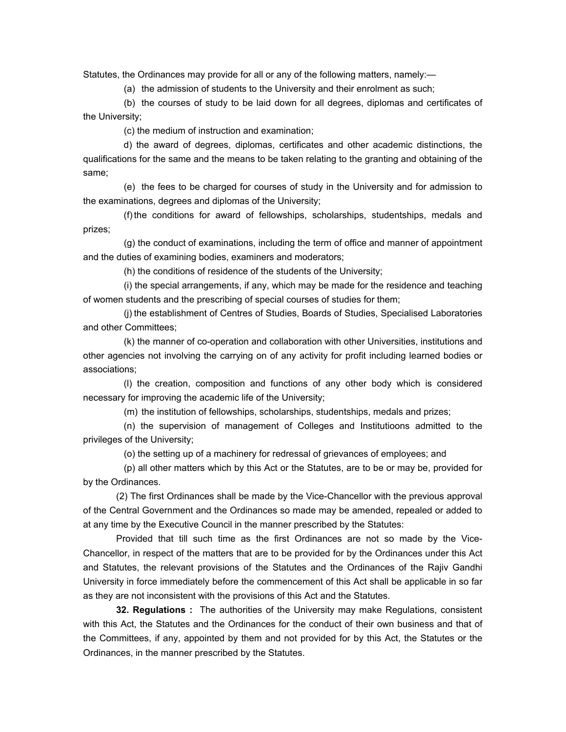Statutes, the Ordinances may provide for all or any of the following matters, namely:—

(a) the admission of students to the University and their enrolment as such;

 (b) the courses of study to be laid down for all degrees, diplomas and certificates of the University;

(c) the medium of instruction and examination;

 d) the award of degrees, diplomas, certificates and other academic distinctions, the qualifications for the same and the means to be taken relating to the granting and obtaining of the same;

 (e) the fees to be charged for courses of study in the University and for admission to the examinations, degrees and diplomas of the University;

 (f) the conditions for award of fellowships, scholarships, studentships, medals and prizes;

 (g) the conduct of examinations, including the term of office and manner of appointment and the duties of examining bodies, examiners and moderators;

(h) the conditions of residence of the students of the University;

 (i) the special arrangements, if any, which may be made for the residence and teaching of women students and the prescribing of special courses of studies for them;

 (j) the establishment of Centres of Studies, Boards of Studies, Specialised Laboratories and other Committees;

 (k) the manner of co-operation and collaboration with other Universities, institutions and other agencies not involving the carrying on of any activity for profit including learned bodies or associations;

 (l) the creation, composition and functions of any other body which is considered necessary for improving the academic life of the University;

(m) the institution of fellowships, scholarships, studentships, medals and prizes;

 (n) the supervision of management of Colleges and Institutioons admitted to the privileges of the University;

(o) the setting up of a machinery for redressal of grievances of employees; and

 (p) all other matters which by this Act or the Statutes, are to be or may be, provided for by the Ordinances.

 (2) The first Ordinances shall be made by the Vice-Chancellor with the previous approval of the Central Government and the Ordinances so made may be amended, repealed or added to at any time by the Executive Council in the manner prescribed by the Statutes:

 Provided that till such time as the first Ordinances are not so made by the Vice-Chancellor, in respect of the matters that are to be provided for by the Ordinances under this Act and Statutes, the relevant provisions of the Statutes and the Ordinances of the Rajiv Gandhi University in force immediately before the commencement of this Act shall be applicable in so far as they are not inconsistent with the provisions of this Act and the Statutes.

**32. Regulations :** The authorities of the University may make Regulations, consistent with this Act, the Statutes and the Ordinances for the conduct of their own business and that of the Committees, if any, appointed by them and not provided for by this Act, the Statutes or the Ordinances, in the manner prescribed by the Statutes.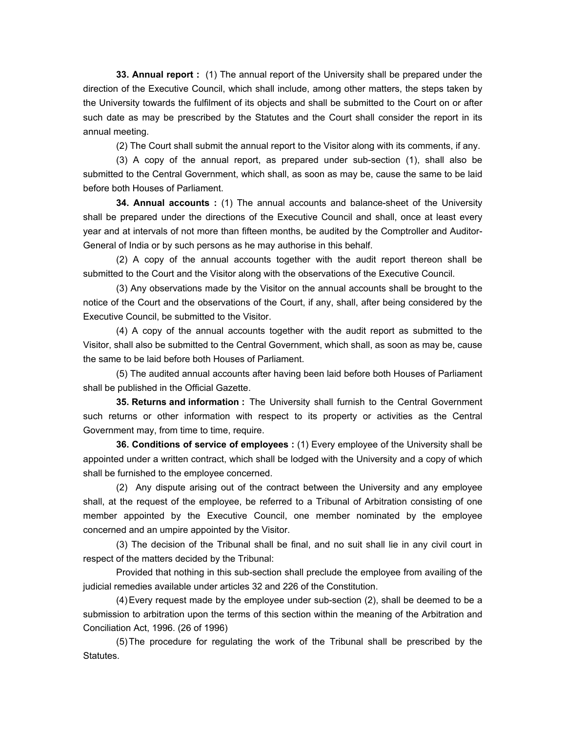**33. Annual report :** (1) The annual report of the University shall be prepared under the direction of the Executive Council, which shall include, among other matters, the steps taken by the University towards the fulfilment of its objects and shall be submitted to the Court on or after such date as may be prescribed by the Statutes and the Court shall consider the report in its annual meeting.

(2) The Court shall submit the annual report to the Visitor along with its comments, if any.

 (3) A copy of the annual report, as prepared under sub-section (1), shall also be submitted to the Central Government, which shall, as soon as may be, cause the same to be laid before both Houses of Parliament.

 **34. Annual accounts :** (1) The annual accounts and balance-sheet of the University shall be prepared under the directions of the Executive Council and shall, once at least every year and at intervals of not more than fifteen months, be audited by the Comptroller and Auditor-General of India or by such persons as he may authorise in this behalf.

 (2) A copy of the annual accounts together with the audit report thereon shall be submitted to the Court and the Visitor along with the observations of the Executive Council.

 (3) Any observations made by the Visitor on the annual accounts shall be brought to the notice of the Court and the observations of the Court, if any, shall, after being considered by the Executive Council, be submitted to the Visitor.

 (4) A copy of the annual accounts together with the audit report as submitted to the Visitor, shall also be submitted to the Central Government, which shall, as soon as may be, cause the same to be laid before both Houses of Parliament.

 (5) The audited annual accounts after having been laid before both Houses of Parliament shall be published in the Official Gazette.

 **35. Returns and information :** The University shall furnish to the Central Government such returns or other information with respect to its property or activities as the Central Government may, from time to time, require.

 **36. Conditions of service of employees :** (1) Every employee of the University shall be appointed under a written contract, which shall be lodged with the University and a copy of which shall be furnished to the employee concerned.

 (2) Any dispute arising out of the contract between the University and any employee shall, at the request of the employee, be referred to a Tribunal of Arbitration consisting of one member appointed by the Executive Council, one member nominated by the employee concerned and an umpire appointed by the Visitor.

 (3) The decision of the Tribunal shall be final, and no suit shall lie in any civil court in respect of the matters decided by the Tribunal:

 Provided that nothing in this sub-section shall preclude the employee from availing of the judicial remedies available under articles 32 and 226 of the Constitution.

 (4) Every request made by the employee under sub-section (2), shall be deemed to be a submission to arbitration upon the terms of this section within the meaning of the Arbitration and Conciliation Act, 1996. (26 of 1996)

 (5) The procedure for regulating the work of the Tribunal shall be prescribed by the Statutes.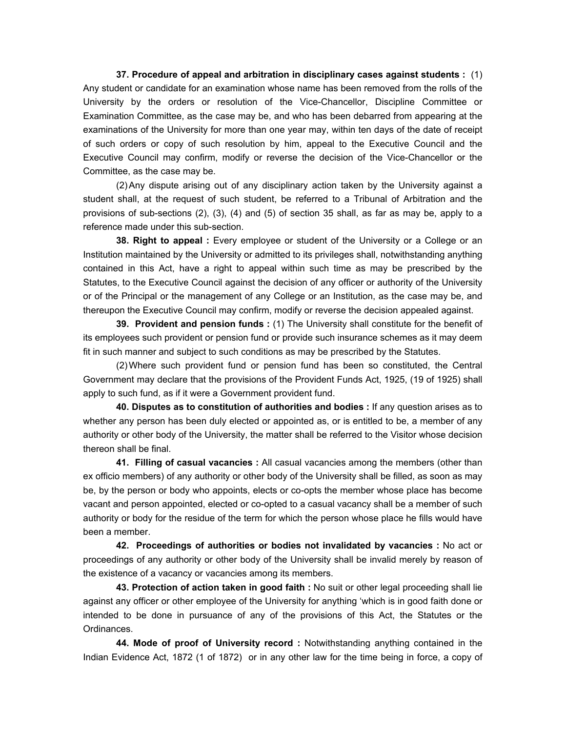**37. Procedure of appeal and arbitration in disciplinary cases against students :** (1) Any student or candidate for an examination whose name has been removed from the rolls of the University by the orders or resolution of the Vice-Chancellor, Discipline Committee or Examination Committee, as the case may be, and who has been debarred from appearing at the examinations of the University for more than one year may, within ten days of the date of receipt of such orders or copy of such resolution by him, appeal to the Executive Council and the Executive Council may confirm, modify or reverse the decision of the Vice-Chancellor or the Committee, as the case may be.

 (2) Any dispute arising out of any disciplinary action taken by the University against a student shall, at the request of such student, be referred to a Tribunal of Arbitration and the provisions of sub-sections (2), (3), (4) and (5) of section 35 shall, as far as may be, apply to a reference made under this sub-section.

**38. Right to appeal** : Every employee or student of the University or a College or an Institution maintained by the University or admitted to its privileges shall, notwithstanding anything contained in this Act, have a right to appeal within such time as may be prescribed by the Statutes, to the Executive Council against the decision of any officer or authority of the University or of the Principal or the management of any College or an Institution, as the case may be, and thereupon the Executive Council may confirm, modify or reverse the decision appealed against.

 **39. Provident and pension funds :** (1) The University shall constitute for the benefit of its employees such provident or pension fund or provide such insurance schemes as it may deem fit in such manner and subject to such conditions as may be prescribed by the Statutes.

 (2) Where such provident fund or pension fund has been so constituted, the Central Government may declare that the provisions of the Provident Funds Act, 1925, (19 of 1925) shall apply to such fund, as if it were a Government provident fund.

 **40. Disputes as to constitution of authorities and bodies :** If any question arises as to whether any person has been duly elected or appointed as, or is entitled to be, a member of any authority or other body of the University, the matter shall be referred to the Visitor whose decision thereon shall be final.

 **41. Filling of casual vacancies :** All casual vacancies among the members (other than ex officio members) of any authority or other body of the University shall be filled, as soon as may be, by the person or body who appoints, elects or co-opts the member whose place has become vacant and person appointed, elected or co-opted to a casual vacancy shall be a member of such authority or body for the residue of the term for which the person whose place he fills would have been a member.

 **42. Proceedings of authorities or bodies not invalidated by vacancies :** No act or proceedings of any authority or other body of the University shall be invalid merely by reason of the existence of a vacancy or vacancies among its members.

 **43. Protection of action taken in good faith :** No suit or other legal proceeding shall lie against any officer or other employee of the University for anything 'which is in good faith done or intended to be done in pursuance of any of the provisions of this Act, the Statutes or the Ordinances.

 **44. Mode of proof of University record :** Notwithstanding anything contained in the Indian Evidence Act, 1872 (1 of 1872) or in any other law for the time being in force, a copy of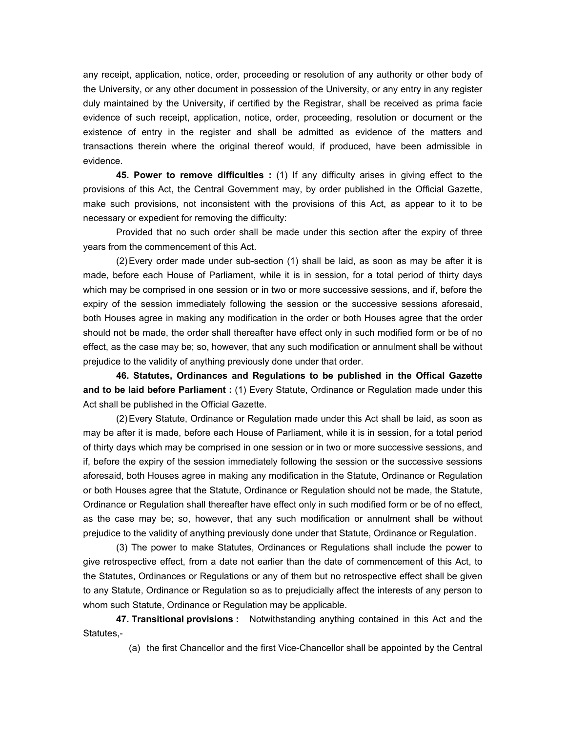any receipt, application, notice, order, proceeding or resolution of any authority or other body of the University, or any other document in possession of the University, or any entry in any register duly maintained by the University, if certified by the Registrar, shall be received as prima facie evidence of such receipt, application, notice, order, proceeding, resolution or document or the existence of entry in the register and shall be admitted as evidence of the matters and transactions therein where the original thereof would, if produced, have been admissible in evidence.

 **45. Power to remove difficulties :** (1) If any difficulty arises in giving effect to the provisions of this Act, the Central Government may, by order published in the Official Gazette, make such provisions, not inconsistent with the provisions of this Act, as appear to it to be necessary or expedient for removing the difficulty:

 Provided that no such order shall be made under this section after the expiry of three years from the commencement of this Act.

 (2) Every order made under sub-section (1) shall be laid, as soon as may be after it is made, before each House of Parliament, while it is in session, for a total period of thirty days which may be comprised in one session or in two or more successive sessions, and if, before the expiry of the session immediately following the session or the successive sessions aforesaid, both Houses agree in making any modification in the order or both Houses agree that the order should not be made, the order shall thereafter have effect only in such modified form or be of no effect, as the case may be; so, however, that any such modification or annulment shall be without prejudice to the validity of anything previously done under that order.

 **46. Statutes, Ordinances and Regulations to be published in the Offical Gazette and to be laid before Parliament :** (1) Every Statute, Ordinance or Regulation made under this Act shall be published in the Official Gazette.

 (2) Every Statute, Ordinance or Regulation made under this Act shall be laid, as soon as may be after it is made, before each House of Parliament, while it is in session, for a total period of thirty days which may be comprised in one session or in two or more successive sessions, and if, before the expiry of the session immediately following the session or the successive sessions aforesaid, both Houses agree in making any modification in the Statute, Ordinance or Regulation or both Houses agree that the Statute, Ordinance or Regulation should not be made, the Statute, Ordinance or Regulation shall thereafter have effect only in such modified form or be of no effect, as the case may be; so, however, that any such modification or annulment shall be without prejudice to the validity of anything previously done under that Statute, Ordinance or Regulation.

 (3) The power to make Statutes, Ordinances or Regulations shall include the power to give retrospective effect, from a date not earlier than the date of commencement of this Act, to the Statutes, Ordinances or Regulations or any of them but no retrospective effect shall be given to any Statute, Ordinance or Regulation so as to prejudicially affect the interests of any person to whom such Statute, Ordinance or Regulation may be applicable.

 **47. Transitional provisions :** Notwithstanding anything contained in this Act and the Statutes,-

(a) the first Chancellor and the first Vice-Chancellor shall be appointed by the Central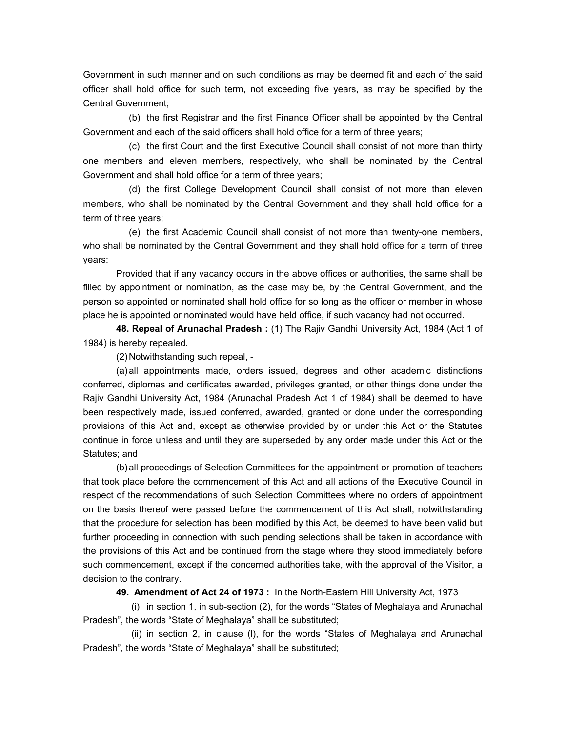Government in such manner and on such conditions as may be deemed fit and each of the said officer shall hold office for such term, not exceeding five years, as may be specified by the Central Government;

 (b) the first Registrar and the first Finance Officer shall be appointed by the Central Government and each of the said officers shall hold office for a term of three years;

 (c) the first Court and the first Executive Council shall consist of not more than thirty one members and eleven members, respectively, who shall be nominated by the Central Government and shall hold office for a term of three years;

 (d) the first College Development Council shall consist of not more than eleven members, who shall be nominated by the Central Government and they shall hold office for a term of three years;

 (e) the first Academic Council shall consist of not more than twenty-one members, who shall be nominated by the Central Government and they shall hold office for a term of three years:

 Provided that if any vacancy occurs in the above offices or authorities, the same shall be filled by appointment or nomination, as the case may be, by the Central Government, and the person so appointed or nominated shall hold office for so long as the officer or member in whose place he is appointed or nominated would have held office, if such vacancy had not occurred.

 **48. Repeal of Arunachal Pradesh :** (1) The Rajiv Gandhi University Act, 1984 (Act 1 of 1984) is hereby repealed.

(2) Notwithstanding such repeal, -

 (a) all appointments made, orders issued, degrees and other academic distinctions conferred, diplomas and certificates awarded, privileges granted, or other things done under the Rajiv Gandhi University Act, 1984 (Arunachal Pradesh Act 1 of 1984) shall be deemed to have been respectively made, issued conferred, awarded, granted or done under the corresponding provisions of this Act and, except as otherwise provided by or under this Act or the Statutes continue in force unless and until they are superseded by any order made under this Act or the Statutes; and

 (b) all proceedings of Selection Committees for the appointment or promotion of teachers that took place before the commencement of this Act and all actions of the Executive Council in respect of the recommendations of such Selection Committees where no orders of appointment on the basis thereof were passed before the commencement of this Act shall, notwithstanding that the procedure for selection has been modified by this Act, be deemed to have been valid but further proceeding in connection with such pending selections shall be taken in accordance with the provisions of this Act and be continued from the stage where they stood immediately before such commencement, except if the concerned authorities take, with the approval of the Visitor, a decision to the contrary.

 **49. Amendment of Act 24 of 1973 :** In the North-Eastern Hill University Act, 1973

 (i) in section 1, in sub-section (2), for the words "States of Meghalaya and Arunachal Pradesh", the words "State of Meghalaya" shall be substituted;

 (ii) in section 2, in clause (l), for the words "States of Meghalaya and Arunachal Pradesh", the words "State of Meghalaya" shall be substituted;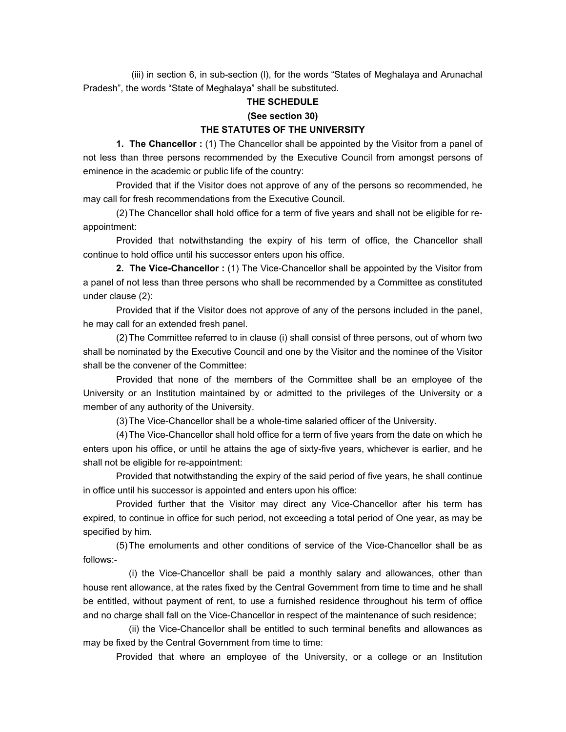(iii) in section 6, in sub-section (l), for the words "States of Meghalaya and Arunachal Pradesh", the words "State of Meghalaya" shall be substituted.

### **THE SCHEDULE**

#### **(See section 30)**

#### **THE STATUTES OF THE UNIVERSITY**

 **1. The Chancellor :** (1) The Chancellor shall be appointed by the Visitor from a panel of not less than three persons recommended by the Executive Council from amongst persons of eminence in the academic or public life of the country:

 Provided that if the Visitor does not approve of any of the persons so recommended, he may call for fresh recommendations from the Executive Council.

 (2) The Chancellor shall hold office for a term of five years and shall not be eligible for reappointment:

 Provided that notwithstanding the expiry of his term of office, the Chancellor shall continue to hold office until his successor enters upon his office.

 **2. The Vice-Chancellor :** (1) The Vice-Chancellor shall be appointed by the Visitor from a panel of not less than three persons who shall be recommended by a Committee as constituted under clause (2):

 Provided that if the Visitor does not approve of any of the persons included in the panel, he may call for an extended fresh panel.

 (2) The Committee referred to in clause (i) shall consist of three persons, out of whom two shall be nominated by the Executive Council and one by the Visitor and the nominee of the Visitor shall be the convener of the Committee:

 Provided that none of the members of the Committee shall be an employee of the University or an Institution maintained by or admitted to the privileges of the University or a member of any authority of the University.

(3) The Vice-Chancellor shall be a whole-time salaried officer of the University.

 (4) The Vice-Chancellor shall hold office for a term of five years from the date on which he enters upon his office, or until he attains the age of sixty-five years, whichever is earlier, and he shall not be eligible for re-appointment:

 Provided that notwithstanding the expiry of the said period of five years, he shall continue in office until his successor is appointed and enters upon his office:

 Provided further that the Visitor may direct any Vice-Chancellor after his term has expired, to continue in office for such period, not exceeding a total period of One year, as may be specified by him.

 (5) The emoluments and other conditions of service of the Vice-Chancellor shall be as follows:-

 (i) the Vice-Chancellor shall be paid a monthly salary and allowances, other than house rent allowance, at the rates fixed by the Central Government from time to time and he shall be entitled, without payment of rent, to use a furnished residence throughout his term of office and no charge shall fall on the Vice-Chancellor in respect of the maintenance of such residence;

 (ii) the Vice-Chancellor shall be entitled to such terminal benefits and allowances as may be fixed by the Central Government from time to time:

Provided that where an employee of the University, or a college or an Institution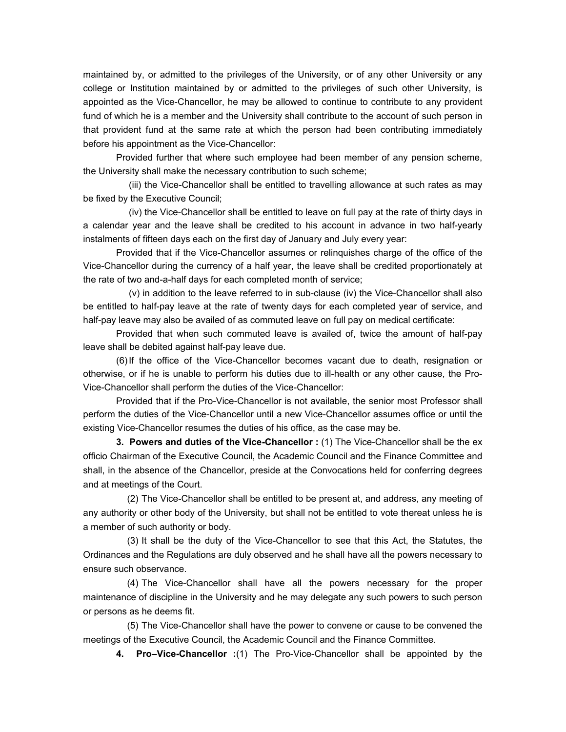maintained by, or admitted to the privileges of the University, or of any other University or any college or Institution maintained by or admitted to the privileges of such other University, is appointed as the Vice-Chancellor, he may be allowed to continue to contribute to any provident fund of which he is a member and the University shall contribute to the account of such person in that provident fund at the same rate at which the person had been contributing immediately before his appointment as the Vice-Chancellor:

 Provided further that where such employee had been member of any pension scheme, the University shall make the necessary contribution to such scheme;

 (iii) the Vice-Chancellor shall be entitled to travelling allowance at such rates as may be fixed by the Executive Council;

 (iv) the Vice-Chancellor shall be entitled to leave on full pay at the rate of thirty days in a calendar year and the leave shall be credited to his account in advance in two half-yearly instalments of fifteen days each on the first day of January and July every year:

 Provided that if the Vice-Chancellor assumes or relinquishes charge of the office of the Vice-Chancellor during the currency of a half year, the leave shall be credited proportionately at the rate of two and-a-half days for each completed month of service;

 (v) in addition to the leave referred to in sub-clause (iv) the Vice-Chancellor shall also be entitled to half-pay leave at the rate of twenty days for each completed year of service, and half-pay leave may also be availed of as commuted leave on full pay on medical certificate:

 Provided that when such commuted leave is availed of, twice the amount of half-pay leave shall be debited against half-pay leave due.

 (6) If the office of the Vice-Chancellor becomes vacant due to death, resignation or otherwise, or if he is unable to perform his duties due to ill-health or any other cause, the Pro-Vice-Chancellor shall perform the duties of the Vice-Chancellor:

 Provided that if the Pro-Vice-Chancellor is not available, the senior most Professor shall perform the duties of the Vice-Chancellor until a new Vice-Chancellor assumes office or until the existing Vice-Chancellor resumes the duties of his office, as the case may be.

 **3. Powers and duties of the Vice-Chancellor :** (1) The Vice-Chancellor shall be the ex officio Chairman of the Executive Council, the Academic Council and the Finance Committee and shall, in the absence of the Chancellor, preside at the Convocations held for conferring degrees and at meetings of the Court.

 (2) The Vice-Chancellor shall be entitled to be present at, and address, any meeting of any authority or other body of the University, but shall not be entitled to vote thereat unless he is a member of such authority or body.

 (3) It shall be the duty of the Vice-Chancellor to see that this Act, the Statutes, the Ordinances and the Regulations are duly observed and he shall have all the powers necessary to ensure such observance.

 (4) The Vice-Chancellor shall have all the powers necessary for the proper maintenance of discipline in the University and he may delegate any such powers to such person or persons as he deems fit.

 (5) The Vice-Chancellor shall have the power to convene or cause to be convened the meetings of the Executive Council, the Academic Council and the Finance Committee.

 **4. Pro–Vice-Chancellor :**(1) The Pro-Vice-Chancellor shall be appointed by the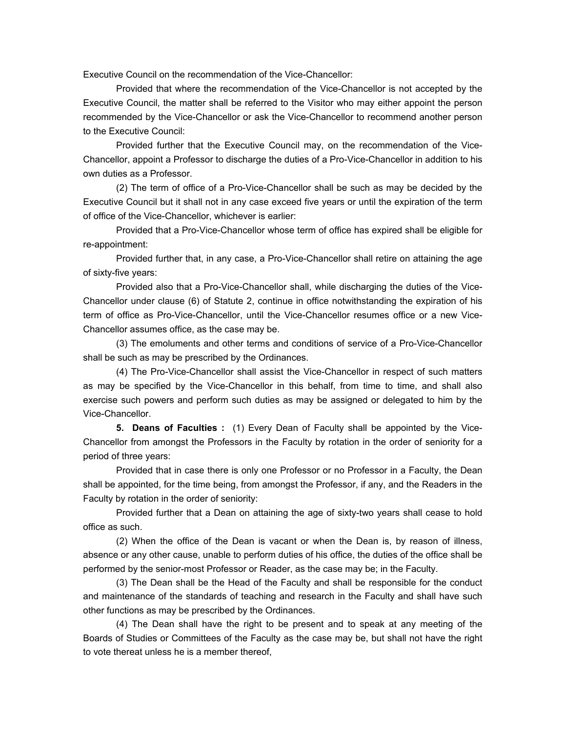Executive Council on the recommendation of the Vice-Chancellor:

 Provided that where the recommendation of the Vice-Chancellor is not accepted by the Executive Council, the matter shall be referred to the Visitor who may either appoint the person recommended by the Vice-Chancellor or ask the Vice-Chancellor to recommend another person to the Executive Council:

 Provided further that the Executive Council may, on the recommendation of the Vice-Chancellor, appoint a Professor to discharge the duties of a Pro-Vice-Chancellor in addition to his own duties as a Professor.

 (2) The term of office of a Pro-Vice-Chancellor shall be such as may be decided by the Executive Council but it shall not in any case exceed five years or until the expiration of the term of office of the Vice-Chancellor, whichever is earlier:

 Provided that a Pro-Vice-Chancellor whose term of office has expired shall be eligible for re-appointment:

 Provided further that, in any case, a Pro-Vice-Chancellor shall retire on attaining the age of sixty-five years:

 Provided also that a Pro-Vice-Chancellor shall, while discharging the duties of the Vice-Chancellor under clause (6) of Statute 2, continue in office notwithstanding the expiration of his term of office as Pro-Vice-Chancellor, until the Vice-Chancellor resumes office or a new Vice-Chancellor assumes office, as the case may be.

 (3) The emoluments and other terms and conditions of service of a Pro-Vice-Chancellor shall be such as may be prescribed by the Ordinances.

 (4) The Pro-Vice-Chancellor shall assist the Vice-Chancellor in respect of such matters as may be specified by the Vice-Chancellor in this behalf, from time to time, and shall also exercise such powers and perform such duties as may be assigned or delegated to him by the Vice-Chancellor.

 **5. Deans of Faculties :** (1) Every Dean of Faculty shall be appointed by the Vice-Chancellor from amongst the Professors in the Faculty by rotation in the order of seniority for a period of three years:

 Provided that in case there is only one Professor or no Professor in a Faculty, the Dean shall be appointed, for the time being, from amongst the Professor, if any, and the Readers in the Faculty by rotation in the order of seniority:

 Provided further that a Dean on attaining the age of sixty-two years shall cease to hold office as such.

 (2) When the office of the Dean is vacant or when the Dean is, by reason of illness, absence or any other cause, unable to perform duties of his office, the duties of the office shall be performed by the senior-most Professor or Reader, as the case may be; in the Faculty.

 (3) The Dean shall be the Head of the Faculty and shall be responsible for the conduct and maintenance of the standards of teaching and research in the Faculty and shall have such other functions as may be prescribed by the Ordinances.

 (4) The Dean shall have the right to be present and to speak at any meeting of the Boards of Studies or Committees of the Faculty as the case may be, but shall not have the right to vote thereat unless he is a member thereof,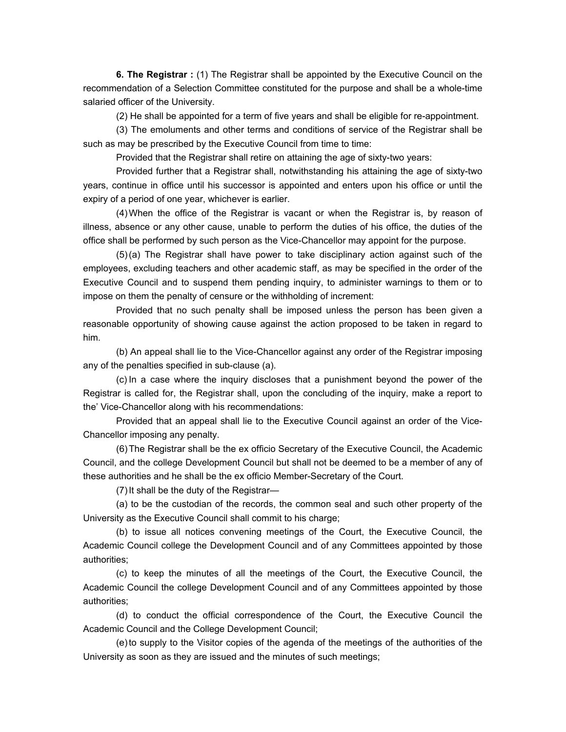**6. The Registrar :** (1) The Registrar shall be appointed by the Executive Council on the recommendation of a Selection Committee constituted for the purpose and shall be a whole-time salaried officer of the University.

(2) He shall be appointed for a term of five years and shall be eligible for re-appointment.

 (3) The emoluments and other terms and conditions of service of the Registrar shall be such as may be prescribed by the Executive Council from time to time:

Provided that the Registrar shall retire on attaining the age of sixty-two years:

 Provided further that a Registrar shall, notwithstanding his attaining the age of sixty-two years, continue in office until his successor is appointed and enters upon his office or until the expiry of a period of one year, whichever is earlier.

 (4) When the office of the Registrar is vacant or when the Registrar is, by reason of illness, absence or any other cause, unable to perform the duties of his office, the duties of the office shall be performed by such person as the Vice-Chancellor may appoint for the purpose.

 (5) (a) The Registrar shall have power to take disciplinary action against such of the employees, excluding teachers and other academic staff, as may be specified in the order of the Executive Council and to suspend them pending inquiry, to administer warnings to them or to impose on them the penalty of censure or the withholding of increment:

 Provided that no such penalty shall be imposed unless the person has been given a reasonable opportunity of showing cause against the action proposed to be taken in regard to him.

 (b) An appeal shall lie to the Vice-Chancellor against any order of the Registrar imposing any of the penalties specified in sub-clause (a).

 (c) In a case where the inquiry discloses that a punishment beyond the power of the Registrar is called for, the Registrar shall, upon the concluding of the inquiry, make a report to the' Vice-Chancellor along with his recommendations:

 Provided that an appeal shall lie to the Executive Council against an order of the Vice-Chancellor imposing any penalty.

 (6) The Registrar shall be the ex officio Secretary of the Executive Council, the Academic Council, and the college Development Council but shall not be deemed to be a member of any of these authorities and he shall be the ex officio Member-Secretary of the Court.

(7) It shall be the duty of the Registrar—

 (a) to be the custodian of the records, the common seal and such other property of the University as the Executive Council shall commit to his charge;

 (b) to issue all notices convening meetings of the Court, the Executive Council, the Academic Council college the Development Council and of any Committees appointed by those authorities;

 (c) to keep the minutes of all the meetings of the Court, the Executive Council, the Academic Council the college Development Council and of any Committees appointed by those authorities;

 (d) to conduct the official correspondence of the Court, the Executive Council the Academic Council and the College Development Council;

 (e) to supply to the Visitor copies of the agenda of the meetings of the authorities of the University as soon as they are issued and the minutes of such meetings;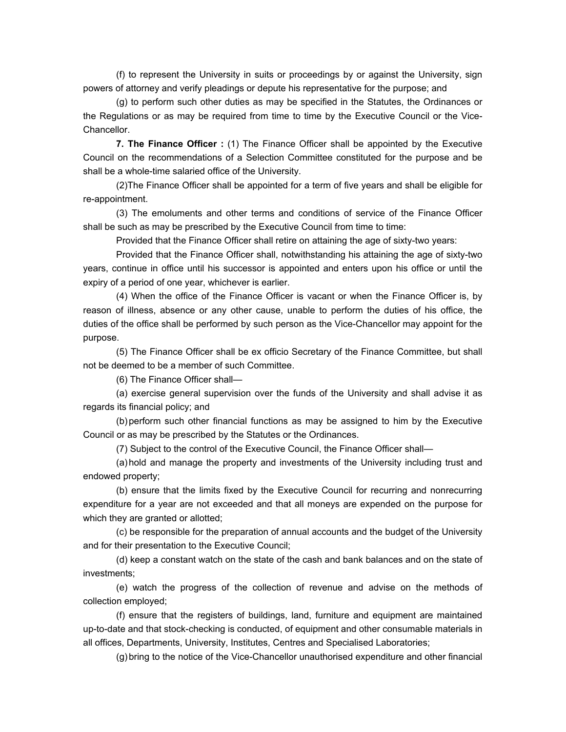(f) to represent the University in suits or proceedings by or against the University, sign powers of attorney and verify pleadings or depute his representative for the purpose; and

 (g) to perform such other duties as may be specified in the Statutes, the Ordinances or the Regulations or as may be required from time to time by the Executive Council or the Vice-Chancellor.

 **7. The Finance Officer :** (1) The Finance Officer shall be appointed by the Executive Council on the recommendations of a Selection Committee constituted for the purpose and be shall be a whole-time salaried office of the University.

 (2)The Finance Officer shall be appointed for a term of five years and shall be eligible for re-appointment.

 (3) The emoluments and other terms and conditions of service of the Finance Officer shall be such as may be prescribed by the Executive Council from time to time:

Provided that the Finance Officer shall retire on attaining the age of sixty-two years:

 Provided that the Finance Officer shall, notwithstanding his attaining the age of sixty-two years, continue in office until his successor is appointed and enters upon his office or until the expiry of a period of one year, whichever is earlier.

 (4) When the office of the Finance Officer is vacant or when the Finance Officer is, by reason of illness, absence or any other cause, unable to perform the duties of his office, the duties of the office shall be performed by such person as the Vice-Chancellor may appoint for the purpose.

 (5) The Finance Officer shall be ex officio Secretary of the Finance Committee, but shall not be deemed to be a member of such Committee.

(6) The Finance Officer shall—

 (a) exercise general supervision over the funds of the University and shall advise it as regards its financial policy; and

 (b) perform such other financial functions as may be assigned to him by the Executive Council or as may be prescribed by the Statutes or the Ordinances.

(7) Subject to the control of the Executive Council, the Finance Officer shall—

 (a) hold and manage the property and investments of the University including trust and endowed property;

 (b) ensure that the limits fixed by the Executive Council for recurring and nonrecurring expenditure for a year are not exceeded and that all moneys are expended on the purpose for which they are granted or allotted;

 (c) be responsible for the preparation of annual accounts and the budget of the University and for their presentation to the Executive Council;

 (d) keep a constant watch on the state of the cash and bank balances and on the state of investments;

 (e) watch the progress of the collection of revenue and advise on the methods of collection employed;

 (f) ensure that the registers of buildings, land, furniture and equipment are maintained up-to-date and that stock-checking is conducted, of equipment and other consumable materials in all offices, Departments, University, Institutes, Centres and Specialised Laboratories;

(g) bring to the notice of the Vice-Chancellor unauthorised expenditure and other financial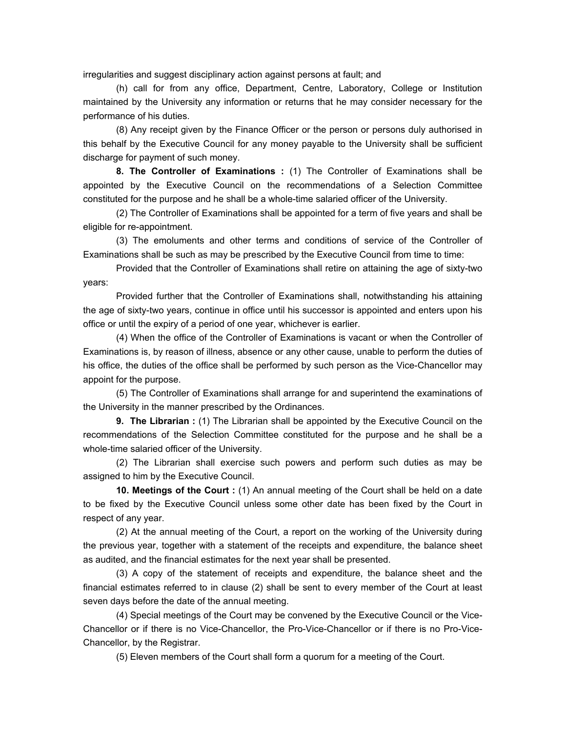irregularities and suggest disciplinary action against persons at fault; and

 (h) call for from any office, Department, Centre, Laboratory, College or Institution maintained by the University any information or returns that he may consider necessary for the performance of his duties.

 (8) Any receipt given by the Finance Officer or the person or persons duly authorised in this behalf by the Executive Council for any money payable to the University shall be sufficient discharge for payment of such money.

 **8. The Controller of Examinations :** (1) The Controller of Examinations shall be appointed by the Executive Council on the recommendations of a Selection Committee constituted for the purpose and he shall be a whole-time salaried officer of the University.

 (2) The Controller of Examinations shall be appointed for a term of five years and shall be eligible for re-appointment.

 (3) The emoluments and other terms and conditions of service of the Controller of Examinations shall be such as may be prescribed by the Executive Council from time to time:

 Provided that the Controller of Examinations shall retire on attaining the age of sixty-two years:

 Provided further that the Controller of Examinations shall, notwithstanding his attaining the age of sixty-two years, continue in office until his successor is appointed and enters upon his office or until the expiry of a period of one year, whichever is earlier.

 (4) When the office of the Controller of Examinations is vacant or when the Controller of Examinations is, by reason of illness, absence or any other cause, unable to perform the duties of his office, the duties of the office shall be performed by such person as the Vice-Chancellor may appoint for the purpose.

 (5) The Controller of Examinations shall arrange for and superintend the examinations of the University in the manner prescribed by the Ordinances.

 **9. The Librarian :** (1) The Librarian shall be appointed by the Executive Council on the recommendations of the Selection Committee constituted for the purpose and he shall be a whole-time salaried officer of the University.

 (2) The Librarian shall exercise such powers and perform such duties as may be assigned to him by the Executive Council.

 **10. Meetings of the Court :** (1) An annual meeting of the Court shall be held on a date to be fixed by the Executive Council unless some other date has been fixed by the Court in respect of any year.

 (2) At the annual meeting of the Court, a report on the working of the University during the previous year, together with a statement of the receipts and expenditure, the balance sheet as audited, and the financial estimates for the next year shall be presented.

 (3) A copy of the statement of receipts and expenditure, the balance sheet and the financial estimates referred to in clause (2) shall be sent to every member of the Court at least seven days before the date of the annual meeting.

 (4) Special meetings of the Court may be convened by the Executive Council or the Vice-Chancellor or if there is no Vice-Chancellor, the Pro-Vice-Chancellor or if there is no Pro-Vice-Chancellor, by the Registrar.

(5) Eleven members of the Court shall form a quorum for a meeting of the Court.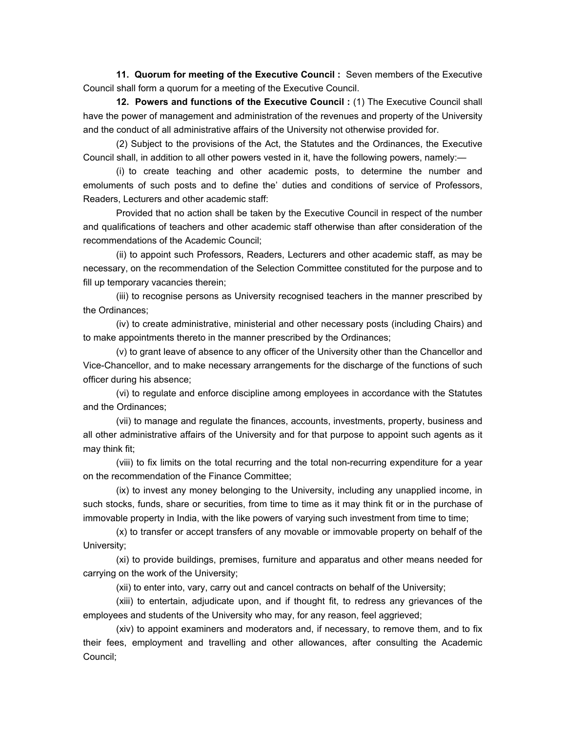**11. Quorum for meeting of the Executive Council :** Seven members of the Executive Council shall form a quorum for a meeting of the Executive Council.

 **12. Powers and functions of the Executive Council :** (1) The Executive Council shall have the power of management and administration of the revenues and property of the University and the conduct of all administrative affairs of the University not otherwise provided for.

 (2) Subject to the provisions of the Act, the Statutes and the Ordinances, the Executive Council shall, in addition to all other powers vested in it, have the following powers, namely:—

 (i) to create teaching and other academic posts, to determine the number and emoluments of such posts and to define the' duties and conditions of service of Professors, Readers, Lecturers and other academic staff:

 Provided that no action shall be taken by the Executive Council in respect of the number and qualifications of teachers and other academic staff otherwise than after consideration of the recommendations of the Academic Council;

 (ii) to appoint such Professors, Readers, Lecturers and other academic staff, as may be necessary, on the recommendation of the Selection Committee constituted for the purpose and to fill up temporary vacancies therein;

 (iii) to recognise persons as University recognised teachers in the manner prescribed by the Ordinances;

 (iv) to create administrative, ministerial and other necessary posts (including Chairs) and to make appointments thereto in the manner prescribed by the Ordinances;

 (v) to grant leave of absence to any officer of the University other than the Chancellor and Vice-Chancellor, and to make necessary arrangements for the discharge of the functions of such officer during his absence;

 (vi) to regulate and enforce discipline among employees in accordance with the Statutes and the Ordinances;

 (vii) to manage and regulate the finances, accounts, investments, property, business and all other administrative affairs of the University and for that purpose to appoint such agents as it may think fit;

 (viii) to fix limits on the total recurring and the total non-recurring expenditure for a year on the recommendation of the Finance Committee;

 (ix) to invest any money belonging to the University, including any unapplied income, in such stocks, funds, share or securities, from time to time as it may think fit or in the purchase of immovable property in India, with the like powers of varying such investment from time to time;

 (x) to transfer or accept transfers of any movable or immovable property on behalf of the University;

 (xi) to provide buildings, premises, furniture and apparatus and other means needed for carrying on the work of the University;

(xii) to enter into, vary, carry out and cancel contracts on behalf of the University;

 (xiii) to entertain, adjudicate upon, and if thought fit, to redress any grievances of the employees and students of the University who may, for any reason, feel aggrieved;

 (xiv) to appoint examiners and moderators and, if necessary, to remove them, and to fix their fees, employment and travelling and other allowances, after consulting the Academic Council;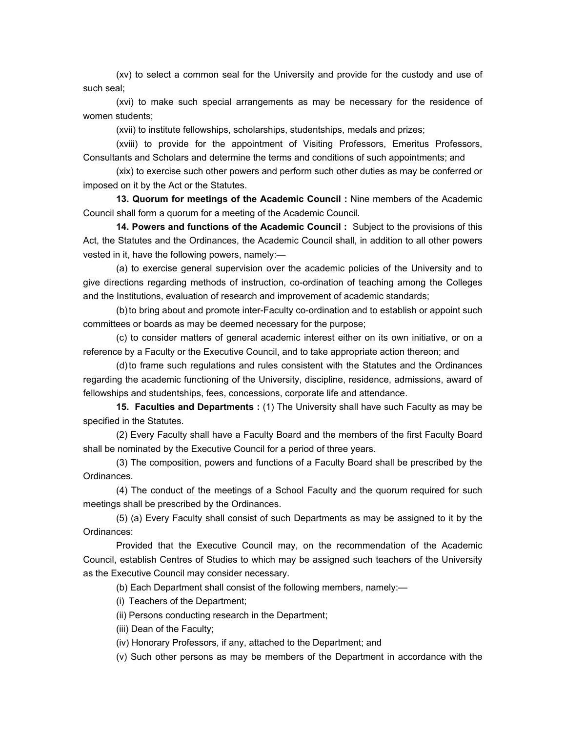(xv) to select a common seal for the University and provide for the custody and use of such seal;

 (xvi) to make such special arrangements as may be necessary for the residence of women students;

(xvii) to institute fellowships, scholarships, studentships, medals and prizes;

 (xviii) to provide for the appointment of Visiting Professors, Emeritus Professors, Consultants and Scholars and determine the terms and conditions of such appointments; and

 (xix) to exercise such other powers and perform such other duties as may be conferred or imposed on it by the Act or the Statutes.

 **13. Quorum for meetings of the Academic Council :** Nine members of the Academic Council shall form a quorum for a meeting of the Academic Council.

 **14. Powers and functions of the Academic Council :** Subject to the provisions of this Act, the Statutes and the Ordinances, the Academic Council shall, in addition to all other powers vested in it, have the following powers, namely:—

 (a) to exercise general supervision over the academic policies of the University and to give directions regarding methods of instruction, co-ordination of teaching among the Colleges and the Institutions, evaluation of research and improvement of academic standards;

 (b) to bring about and promote inter-Faculty co-ordination and to establish or appoint such committees or boards as may be deemed necessary for the purpose;

 (c) to consider matters of general academic interest either on its own initiative, or on a reference by a Faculty or the Executive Council, and to take appropriate action thereon; and

 (d) to frame such regulations and rules consistent with the Statutes and the Ordinances regarding the academic functioning of the University, discipline, residence, admissions, award of fellowships and studentships, fees, concessions, corporate life and attendance.

 **15. Faculties and Departments :** (1) The University shall have such Faculty as may be specified in the Statutes.

 (2) Every Faculty shall have a Faculty Board and the members of the first Faculty Board shall be nominated by the Executive Council for a period of three years.

 (3) The composition, powers and functions of a Faculty Board shall be prescribed by the Ordinances.

 (4) The conduct of the meetings of a School Faculty and the quorum required for such meetings shall be prescribed by the Ordinances.

 (5) (a) Every Faculty shall consist of such Departments as may be assigned to it by the Ordinances:

 Provided that the Executive Council may, on the recommendation of the Academic Council, establish Centres of Studies to which may be assigned such teachers of the University as the Executive Council may consider necessary.

(b) Each Department shall consist of the following members, namely:—

(i) Teachers of the Department;

(ii) Persons conducting research in the Department;

(iii) Dean of the Faculty;

(iv) Honorary Professors, if any, attached to the Department; and

(v) Such other persons as may be members of the Department in accordance with the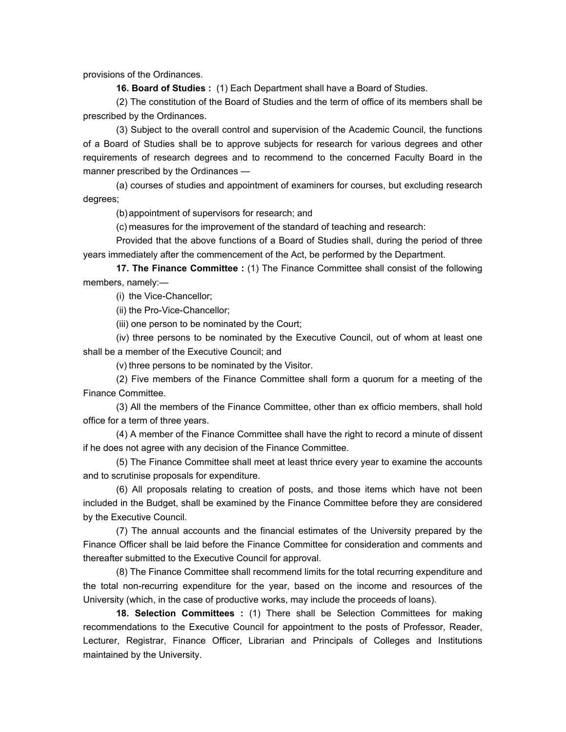provisions of the Ordinances.

 **16. Board of Studies :** (1) Each Department shall have a Board of Studies.

 (2) The constitution of the Board of Studies and the term of office of its members shall be prescribed by the Ordinances.

 (3) Subject to the overall control and supervision of the Academic Council, the functions of a Board of Studies shall be to approve subjects for research for various degrees and other requirements of research degrees and to recommend to the concerned Faculty Board in the manner prescribed by the Ordinances —

 (a) courses of studies and appointment of examiners for courses, but excluding research degrees;

(b) appointment of supervisors for research; and

(c) measures for the improvement of the standard of teaching and research:

 Provided that the above functions of a Board of Studies shall, during the period of three years immediately after the commencement of the Act, be performed by the Department.

 **17. The Finance Committee :** (1) The Finance Committee shall consist of the following members, namely:—

(i) the Vice-Chancellor;

(ii) the Pro-Vice-Chancellor;

(iii) one person to be nominated by the Court;

 (iv) three persons to be nominated by the Executive Council, out of whom at least one shall be a member of the Executive Council; and

(v) three persons to be nominated by the Visitor.

 (2) Five members of the Finance Committee shall form a quorum for a meeting of the Finance Committee.

 (3) All the members of the Finance Committee, other than ex officio members, shall hold office for a term of three years.

 (4) A member of the Finance Committee shall have the right to record a minute of dissent if he does not agree with any decision of the Finance Committee.

 (5) The Finance Committee shall meet at least thrice every year to examine the accounts and to scrutinise proposals for expenditure.

 (6) All proposals relating to creation of posts, and those items which have not been included in the Budget, shall be examined by the Finance Committee before they are considered by the Executive Council.

 (7) The annual accounts and the financial estimates of the University prepared by the Finance Officer shall be laid before the Finance Committee for consideration and comments and thereafter submitted to the Executive Council for approval.

 (8) The Finance Committee shall recommend limits for the total recurring expenditure and the total non-recurring expenditure for the year, based on the income and resources of the University (which, in the case of productive works, may include the proceeds of loans).

 **18. Selection Committees :** (1) There shall be Selection Committees for making recommendations to the Executive Council for appointment to the posts of Professor, Reader, Lecturer, Registrar, Finance Officer, Librarian and Principals of Colleges and Institutions maintained by the University.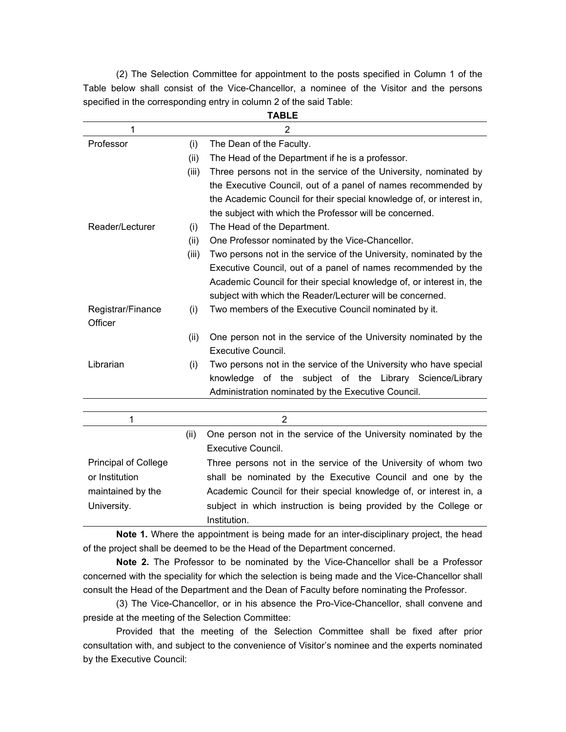(2) The Selection Committee for appointment to the posts specified in Column 1 of the Table below shall consist of the Vice-Chancellor, a nominee of the Visitor and the persons specified in the corresponding entry in column 2 of the said Table: **TABLE** 

| IADLE                       |       |                                                                      |
|-----------------------------|-------|----------------------------------------------------------------------|
| 1                           |       | $\overline{2}$                                                       |
| Professor                   | (i)   | The Dean of the Faculty.                                             |
|                             | (ii)  | The Head of the Department if he is a professor.                     |
|                             | (iii) | Three persons not in the service of the University, nominated by     |
|                             |       | the Executive Council, out of a panel of names recommended by        |
|                             |       | the Academic Council for their special knowledge of, or interest in, |
|                             |       | the subject with which the Professor will be concerned.              |
| Reader/Lecturer             | (i)   | The Head of the Department.                                          |
|                             | (ii)  | One Professor nominated by the Vice-Chancellor.                      |
|                             | (iii) | Two persons not in the service of the University, nominated by the   |
|                             |       | Executive Council, out of a panel of names recommended by the        |
|                             |       | Academic Council for their special knowledge of, or interest in, the |
|                             |       | subject with which the Reader/Lecturer will be concerned.            |
| Registrar/Finance           | (i)   | Two members of the Executive Council nominated by it.                |
| Officer                     |       |                                                                      |
|                             | (ii)  | One person not in the service of the University nominated by the     |
|                             |       | Executive Council.                                                   |
| Librarian                   | (i)   | Two persons not in the service of the University who have special    |
|                             |       | knowledge of the subject of the Library Science/Library              |
|                             |       | Administration nominated by the Executive Council.                   |
|                             |       |                                                                      |
| 1                           |       | $\overline{2}$                                                       |
|                             | (ii)  | One person not in the service of the University nominated by the     |
|                             |       | <b>Executive Council.</b>                                            |
| <b>Principal of College</b> |       | Three persons not in the service of the University of whom two       |
| or Institution              |       | shall be nominated by the Executive Council and one by the           |
| maintained by the           |       | Academic Council for their special knowledge of, or interest in, a   |
| University.                 |       | subject in which instruction is being provided by the College or     |
|                             |       | Institution.                                                         |

 **Note 1.** Where the appointment is being made for an inter-disciplinary project, the head of the project shall be deemed to be the Head of the Department concerned.

 **Note 2.** The Professor to be nominated by the Vice-Chancellor shall be a Professor concerned with the speciality for which the selection is being made and the Vice-Chancellor shall consult the Head of the Department and the Dean of Faculty before nominating the Professor.

 (3) The Vice-Chancellor, or in his absence the Pro-Vice-Chancellor, shall convene and preside at the meeting of the Selection Committee:

 Provided that the meeting of the Selection Committee shall be fixed after prior consultation with, and subject to the convenience of Visitor's nominee and the experts nominated by the Executive Council: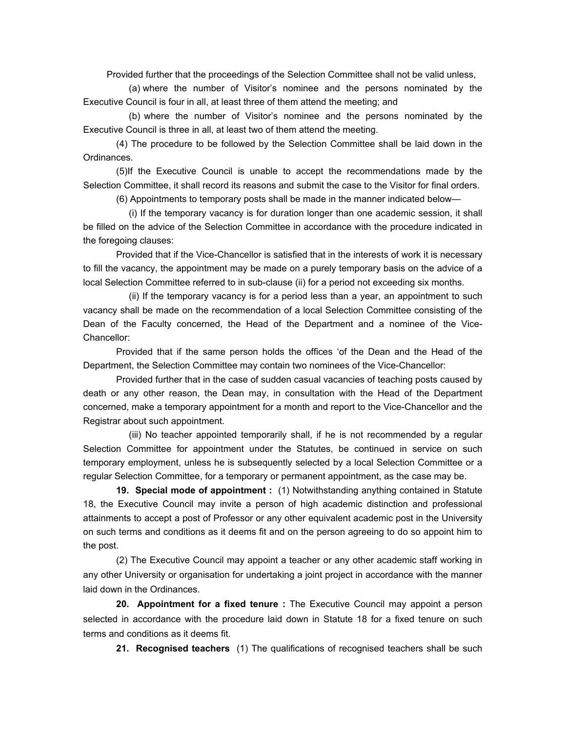Provided further that the proceedings of the Selection Committee shall not be valid unless,

 (a) where the number of Visitor's nominee and the persons nominated by the Executive Council is four in all, at least three of them attend the meeting; and

 (b) where the number of Visitor's nominee and the persons nominated by the Executive Council is three in all, at least two of them attend the meeting.

 (4) The procedure to be followed by the Selection Committee shall be laid down in the Ordinances.

 (5)If the Executive Council is unable to accept the recommendations made by the Selection Committee, it shall record its reasons and submit the case to the Visitor for final orders.

(6) Appointments to temporary posts shall be made in the manner indicated below—

 (i) If the temporary vacancy is for duration longer than one academic session, it shall be filled on the advice of the Selection Committee in accordance with the procedure indicated in the foregoing clauses:

 Provided that if the Vice-Chancellor is satisfied that in the interests of work it is necessary to fill the vacancy, the appointment may be made on a purely temporary basis on the advice of a local Selection Committee referred to in sub-clause (ii) for a period not exceeding six months.

 (ii) If the temporary vacancy is for a period less than a year, an appointment to such vacancy shall be made on the recommendation of a local Selection Committee consisting of the Dean of the Faculty concerned, the Head of the Department and a nominee of the Vice-Chancellor:

Provided that if the same person holds the offices 'of the Dean and the Head of the Department, the Selection Committee may contain two nominees of the Vice-Chancellor:

 Provided further that in the case of sudden casual vacancies of teaching posts caused by death or any other reason, the Dean may, in consultation with the Head of the Department concerned, make a temporary appointment for a month and report to the Vice-Chancellor and the Registrar about such appointment.

 (iii) No teacher appointed temporarily shall, if he is not recommended by a regular Selection Committee for appointment under the Statutes, be continued in service on such temporary employment, unless he is subsequently selected by a local Selection Committee or a regular Selection Committee, for a temporary or permanent appointment, as the case may be.

 **19. Special mode of appointment :** (1) Notwithstanding anything contained in Statute 18, the Executive Council may invite a person of high academic distinction and professional attainments to accept a post of Professor or any other equivalent academic post in the University on such terms and conditions as it deems fit and on the person agreeing to do so appoint him to the post.

 (2) The Executive Council may appoint a teacher or any other academic staff working in any other University or organisation for undertaking a joint project in accordance with the manner laid down in the Ordinances.

 **20. Appointment for a fixed tenure :** The Executive Council may appoint a person selected in accordance with the procedure laid down in Statute 18 for a fixed tenure on such terms and conditions as it deems fit.

 **21. Recognised teachers** (1) The qualifications of recognised teachers shall be such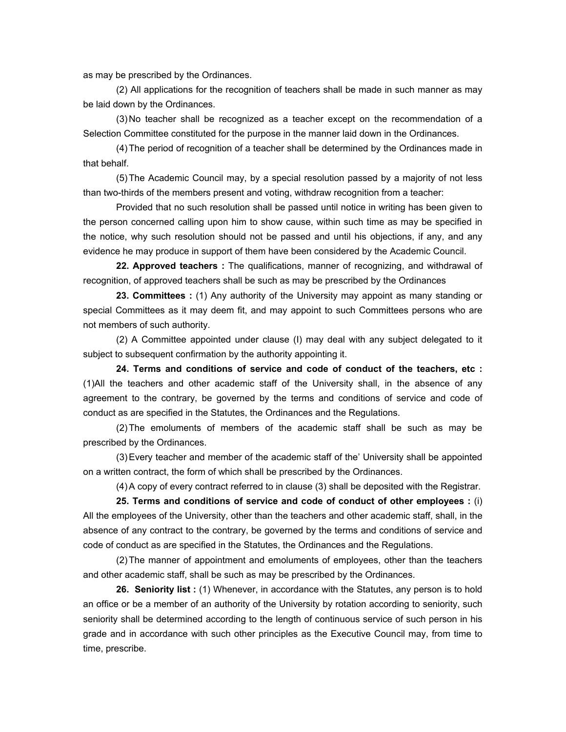as may be prescribed by the Ordinances.

 (2) All applications for the recognition of teachers shall be made in such manner as may be laid down by the Ordinances.

 (3) No teacher shall be recognized as a teacher except on the recommendation of a Selection Committee constituted for the purpose in the manner laid down in the Ordinances.

 (4) The period of recognition of a teacher shall be determined by the Ordinances made in that behalf.

 (5) The Academic Council may, by a special resolution passed by a majority of not less than two-thirds of the members present and voting, withdraw recognition from a teacher:

 Provided that no such resolution shall be passed until notice in writing has been given to the person concerned calling upon him to show cause, within such time as may be specified in the notice, why such resolution should not be passed and until his objections, if any, and any evidence he may produce in support of them have been considered by the Academic Council.

 **22. Approved teachers :** The qualifications, manner of recognizing, and withdrawal of recognition, of approved teachers shall be such as may be prescribed by the Ordinances

 **23. Committees :** (1) Any authority of the University may appoint as many standing or special Committees as it may deem fit, and may appoint to such Committees persons who are not members of such authority.

 (2) A Committee appointed under clause (I) may deal with any subject delegated to it subject to subsequent confirmation by the authority appointing it.

 **24. Terms and conditions of service and code of conduct of the teachers, etc :** (1)All the teachers and other academic staff of the University shall, in the absence of any agreement to the contrary, be governed by the terms and conditions of service and code of conduct as are specified in the Statutes, the Ordinances and the Regulations.

 (2) The emoluments of members of the academic staff shall be such as may be prescribed by the Ordinances.

 (3) Every teacher and member of the academic staff of the' University shall be appointed on a written contract, the form of which shall be prescribed by the Ordinances.

(4) A copy of every contract referred to in clause (3) shall be deposited with the Registrar.

 **25. Terms and conditions of service and code of conduct of other employees :** (i) All the employees of the University, other than the teachers and other academic staff, shall, in the absence of any contract to the contrary, be governed by the terms and conditions of service and code of conduct as are specified in the Statutes, the Ordinances and the Regulations.

 (2) The manner of appointment and emoluments of employees, other than the teachers and other academic staff, shall be such as may be prescribed by the Ordinances.

 **26. Seniority list :** (1) Whenever, in accordance with the Statutes, any person is to hold an office or be a member of an authority of the University by rotation according to seniority, such seniority shall be determined according to the length of continuous service of such person in his grade and in accordance with such other principles as the Executive Council may, from time to time, prescribe.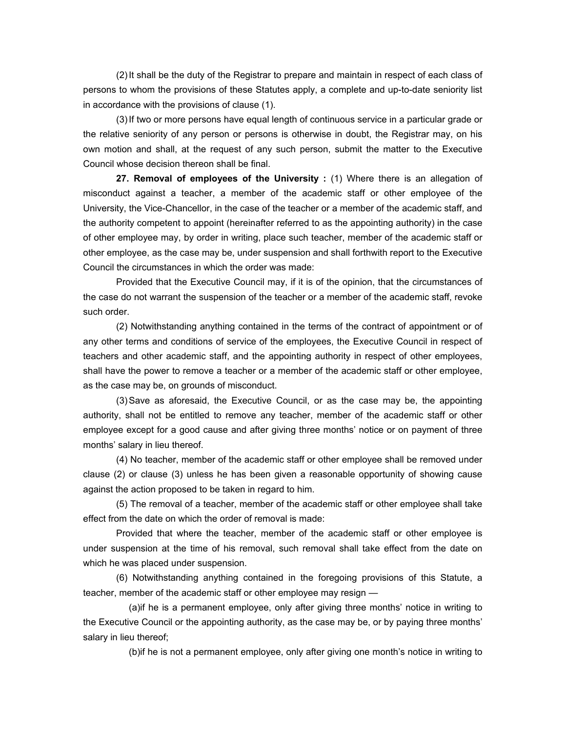(2) It shall be the duty of the Registrar to prepare and maintain in respect of each class of persons to whom the provisions of these Statutes apply, a complete and up-to-date seniority list in accordance with the provisions of clause (1).

 (3) If two or more persons have equal length of continuous service in a particular grade or the relative seniority of any person or persons is otherwise in doubt, the Registrar may, on his own motion and shall, at the request of any such person, submit the matter to the Executive Council whose decision thereon shall be final.

 **27. Removal of employees of the University :** (1) Where there is an allegation of misconduct against a teacher, a member of the academic staff or other employee of the University, the Vice-Chancellor, in the case of the teacher or a member of the academic staff, and the authority competent to appoint (hereinafter referred to as the appointing authority) in the case of other employee may, by order in writing, place such teacher, member of the academic staff or other employee, as the case may be, under suspension and shall forthwith report to the Executive Council the circumstances in which the order was made:

 Provided that the Executive Council may, if it is of the opinion, that the circumstances of the case do not warrant the suspension of the teacher or a member of the academic staff, revoke such order.

 (2) Notwithstanding anything contained in the terms of the contract of appointment or of any other terms and conditions of service of the employees, the Executive Council in respect of teachers and other academic staff, and the appointing authority in respect of other employees, shall have the power to remove a teacher or a member of the academic staff or other employee, as the case may be, on grounds of misconduct.

 (3) Save as aforesaid, the Executive Council, or as the case may be, the appointing authority, shall not be entitled to remove any teacher, member of the academic staff or other employee except for a good cause and after giving three months' notice or on payment of three months' salary in lieu thereof.

 (4) No teacher, member of the academic staff or other employee shall be removed under clause (2) or clause (3) unless he has been given a reasonable opportunity of showing cause against the action proposed to be taken in regard to him.

 (5) The removal of a teacher, member of the academic staff or other employee shall take effect from the date on which the order of removal is made:

 Provided that where the teacher, member of the academic staff or other employee is under suspension at the time of his removal, such removal shall take effect from the date on which he was placed under suspension.

 (6) Notwithstanding anything contained in the foregoing provisions of this Statute, a teacher, member of the academic staff or other employee may resign —

 (a)if he is a permanent employee, only after giving three months' notice in writing to the Executive Council or the appointing authority, as the case may be, or by paying three months' salary in lieu thereof;

(b)if he is not a permanent employee, only after giving one month's notice in writing to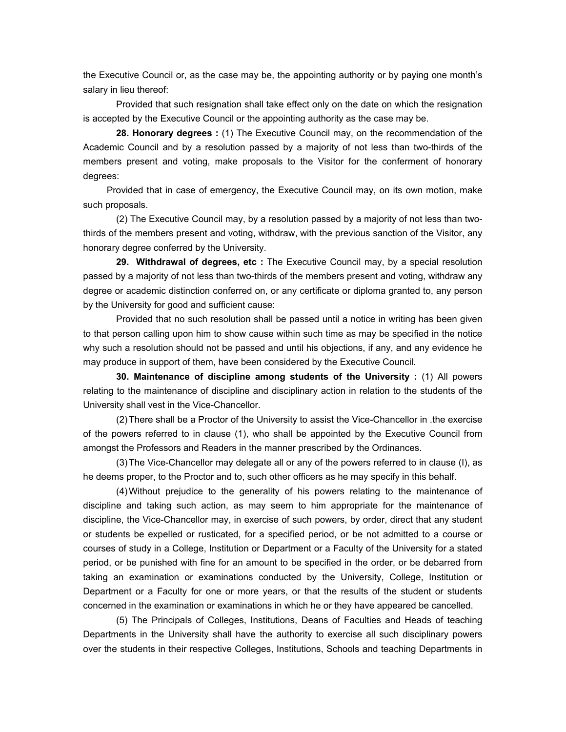the Executive Council or, as the case may be, the appointing authority or by paying one month's salary in lieu thereof:

 Provided that such resignation shall take effect only on the date on which the resignation is accepted by the Executive Council or the appointing authority as the case may be.

 **28. Honorary degrees :** (1) The Executive Council may, on the recommendation of the Academic Council and by a resolution passed by a majority of not less than two-thirds of the members present and voting, make proposals to the Visitor for the conferment of honorary degrees:

 Provided that in case of emergency, the Executive Council may, on its own motion, make such proposals.

 (2) The Executive Council may, by a resolution passed by a majority of not less than twothirds of the members present and voting, withdraw, with the previous sanction of the Visitor, any honorary degree conferred by the University.

 **29. Withdrawal of degrees, etc :** The Executive Council may, by a special resolution passed by a majority of not less than two-thirds of the members present and voting, withdraw any degree or academic distinction conferred on, or any certificate or diploma granted to, any person by the University for good and sufficient cause:

 Provided that no such resolution shall be passed until a notice in writing has been given to that person calling upon him to show cause within such time as may be specified in the notice why such a resolution should not be passed and until his objections, if any, and any evidence he may produce in support of them, have been considered by the Executive Council.

 **30. Maintenance of discipline among students of the University :** (1) All powers relating to the maintenance of discipline and disciplinary action in relation to the students of the University shall vest in the Vice-Chancellor.

 (2) There shall be a Proctor of the University to assist the Vice-Chancellor in .the exercise of the powers referred to in clause (1), who shall be appointed by the Executive Council from amongst the Professors and Readers in the manner prescribed by the Ordinances.

 (3) The Vice-Chancellor may delegate all or any of the powers referred to in clause (I), as he deems proper, to the Proctor and to, such other officers as he may specify in this behalf.

 (4) Without prejudice to the generality of his powers relating to the maintenance of discipline and taking such action, as may seem to him appropriate for the maintenance of discipline, the Vice-Chancellor may, in exercise of such powers, by order, direct that any student or students be expelled or rusticated, for a specified period, or be not admitted to a course or courses of study in a College, Institution or Department or a Faculty of the University for a stated period, or be punished with fine for an amount to be specified in the order, or be debarred from taking an examination or examinations conducted by the University, College, Institution or Department or a Faculty for one or more years, or that the results of the student or students concerned in the examination or examinations in which he or they have appeared be cancelled.

 (5) The Principals of Colleges, Institutions, Deans of Faculties and Heads of teaching Departments in the University shall have the authority to exercise all such disciplinary powers over the students in their respective Colleges, Institutions, Schools and teaching Departments in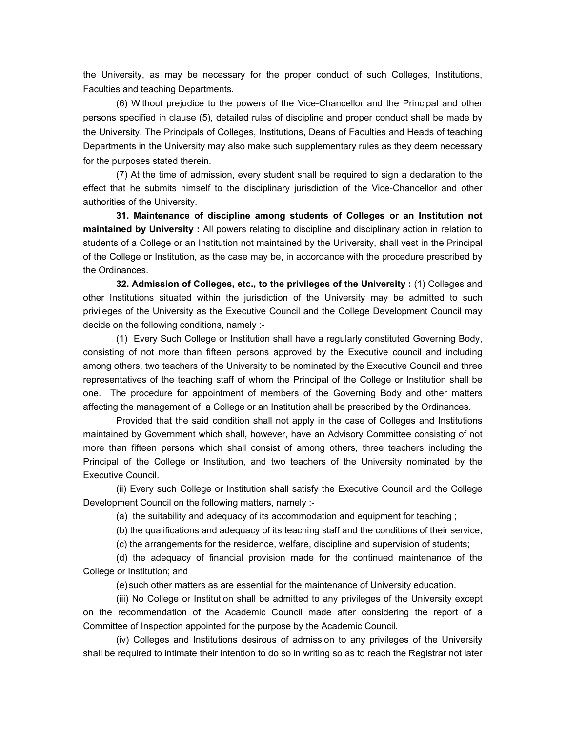the University, as may be necessary for the proper conduct of such Colleges, Institutions, Faculties and teaching Departments.

 (6) Without prejudice to the powers of the Vice-Chancellor and the Principal and other persons specified in clause (5), detailed rules of discipline and proper conduct shall be made by the University. The Principals of Colleges, Institutions, Deans of Faculties and Heads of teaching Departments in the University may also make such supplementary rules as they deem necessary for the purposes stated therein.

 (7) At the time of admission, every student shall be required to sign a declaration to the effect that he submits himself to the disciplinary jurisdiction of the Vice-Chancellor and other authorities of the University.

 **31. Maintenance of discipline among students of Colleges or an Institution not maintained by University :** All powers relating to discipline and disciplinary action in relation to students of a College or an Institution not maintained by the University, shall vest in the Principal of the College or Institution, as the case may be, in accordance with the procedure prescribed by the Ordinances.

 **32. Admission of Colleges, etc., to the privileges of the University :** (1) Colleges and other Institutions situated within the jurisdiction of the University may be admitted to such privileges of the University as the Executive Council and the College Development Council may decide on the following conditions, namely :-

 (1) Every Such College or Institution shall have a regularly constituted Governing Body, consisting of not more than fifteen persons approved by the Executive council and including among others, two teachers of the University to be nominated by the Executive Council and three representatives of the teaching staff of whom the Principal of the College or Institution shall be one. The procedure for appointment of members of the Governing Body and other matters affecting the management of a College or an Institution shall be prescribed by the Ordinances.

 Provided that the said condition shall not apply in the case of Colleges and Institutions maintained by Government which shall, however, have an Advisory Committee consisting of not more than fifteen persons which shall consist of among others, three teachers including the Principal of the College or Institution, and two teachers of the University nominated by the Executive Council.

 (ii) Every such College or Institution shall satisfy the Executive Council and the College Development Council on the following matters, namely :-

(a) the suitability and adequacy of its accommodation and equipment for teaching ;

(b) the qualifications and adequacy of its teaching staff and the conditions of their service;

(c) the arrangements for the residence, welfare, discipline and supervision of students;

 (d) the adequacy of financial provision made for the continued maintenance of the College or Institution; and

(e) such other matters as are essential for the maintenance of University education.

 (iii) No College or Institution shall be admitted to any privileges of the University except on the recommendation of the Academic Council made after considering the report of a Committee of Inspection appointed for the purpose by the Academic Council.

 (iv) Colleges and Institutions desirous of admission to any privileges of the University shall be required to intimate their intention to do so in writing so as to reach the Registrar not later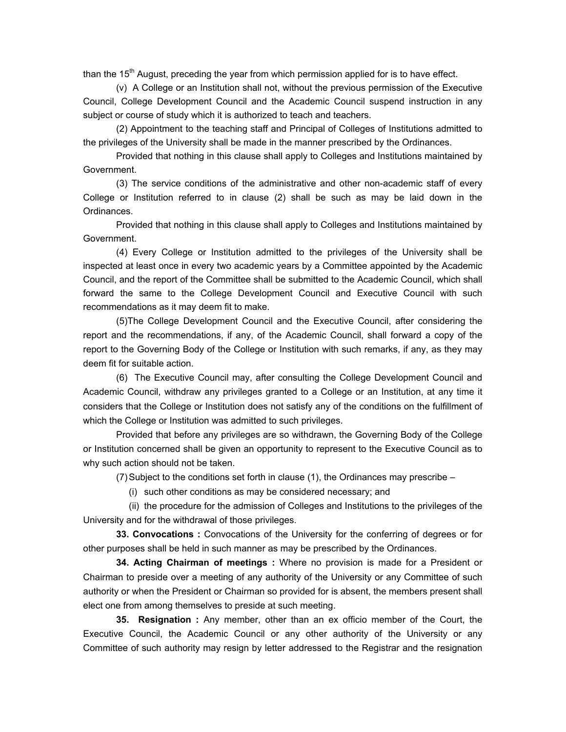than the  $15<sup>th</sup>$  August, preceding the year from which permission applied for is to have effect.

 (v) A College or an Institution shall not, without the previous permission of the Executive Council, College Development Council and the Academic Council suspend instruction in any subject or course of study which it is authorized to teach and teachers.

 (2) Appointment to the teaching staff and Principal of Colleges of Institutions admitted to the privileges of the University shall be made in the manner prescribed by the Ordinances.

 Provided that nothing in this clause shall apply to Colleges and Institutions maintained by Government.

 (3) The service conditions of the administrative and other non-academic staff of every College or Institution referred to in clause (2) shall be such as may be laid down in the Ordinances.

 Provided that nothing in this clause shall apply to Colleges and Institutions maintained by Government.

 (4) Every College or Institution admitted to the privileges of the University shall be inspected at least once in every two academic years by a Committee appointed by the Academic Council, and the report of the Committee shall be submitted to the Academic Council, which shall forward the same to the College Development Council and Executive Council with such recommendations as it may deem fit to make.

 (5)The College Development Council and the Executive Council, after considering the report and the recommendations, if any, of the Academic Council, shall forward a copy of the report to the Governing Body of the College or Institution with such remarks, if any, as they may deem fit for suitable action.

 (6) The Executive Council may, after consulting the College Development Council and Academic Council, withdraw any privileges granted to a College or an Institution, at any time it considers that the College or Institution does not satisfy any of the conditions on the fulfillment of which the College or Institution was admitted to such privileges.

 Provided that before any privileges are so withdrawn, the Governing Body of the College or Institution concerned shall be given an opportunity to represent to the Executive Council as to why such action should not be taken.

(7) Subject to the conditions set forth in clause (1), the Ordinances may prescribe –

(i) such other conditions as may be considered necessary; and

 (ii) the procedure for the admission of Colleges and Institutions to the privileges of the University and for the withdrawal of those privileges.

**33. Convocations :** Convocations of the University for the conferring of degrees or for other purposes shall be held in such manner as may be prescribed by the Ordinances.

 **34. Acting Chairman of meetings :** Where no provision is made for a President or Chairman to preside over a meeting of any authority of the University or any Committee of such authority or when the President or Chairman so provided for is absent, the members present shall elect one from among themselves to preside at such meeting.

 **35. Resignation :** Any member, other than an ex officio member of the Court, the Executive Council, the Academic Council or any other authority of the University or any Committee of such authority may resign by letter addressed to the Registrar and the resignation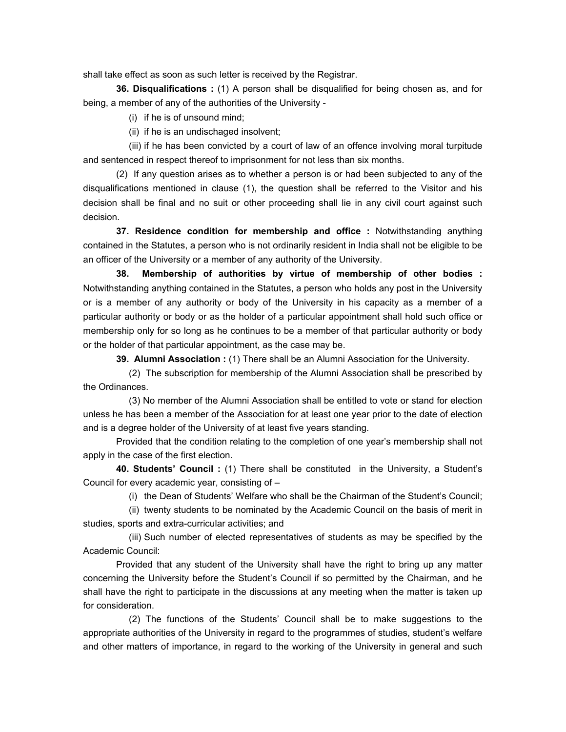shall take effect as soon as such letter is received by the Registrar.

 **36. Disqualifications :** (1) A person shall be disqualified for being chosen as, and for being, a member of any of the authorities of the University -

(i) if he is of unsound mind;

(ii) if he is an undischaged insolvent;

 (iii) if he has been convicted by a court of law of an offence involving moral turpitude and sentenced in respect thereof to imprisonment for not less than six months.

 (2) If any question arises as to whether a person is or had been subjected to any of the disqualifications mentioned in clause (1), the question shall be referred to the Visitor and his decision shall be final and no suit or other proceeding shall lie in any civil court against such decision.

 **37. Residence condition for membership and office :** Notwithstanding anything contained in the Statutes, a person who is not ordinarily resident in India shall not be eligible to be an officer of the University or a member of any authority of the University.

**38. Membership of authorities by virtue of membership of other bodies :** Notwithstanding anything contained in the Statutes, a person who holds any post in the University or is a member of any authority or body of the University in his capacity as a member of a particular authority or body or as the holder of a particular appointment shall hold such office or membership only for so long as he continues to be a member of that particular authority or body or the holder of that particular appointment, as the case may be.

 **39. Alumni Association :** (1) There shall be an Alumni Association for the University.

 (2) The subscription for membership of the Alumni Association shall be prescribed by the Ordinances.

 (3) No member of the Alumni Association shall be entitled to vote or stand for election unless he has been a member of the Association for at least one year prior to the date of election and is a degree holder of the University of at least five years standing.

 Provided that the condition relating to the completion of one year's membership shall not apply in the case of the first election.

 **40. Students' Council :** (1) There shall be constituted in the University, a Student's Council for every academic year, consisting of –

(i) the Dean of Students' Welfare who shall be the Chairman of the Student's Council;

 (ii) twenty students to be nominated by the Academic Council on the basis of merit in studies, sports and extra-curricular activities; and

 (iii) Such number of elected representatives of students as may be specified by the Academic Council:

 Provided that any student of the University shall have the right to bring up any matter concerning the University before the Student's Council if so permitted by the Chairman, and he shall have the right to participate in the discussions at any meeting when the matter is taken up for consideration.

 (2) The functions of the Students' Council shall be to make suggestions to the appropriate authorities of the University in regard to the programmes of studies, student's welfare and other matters of importance, in regard to the working of the University in general and such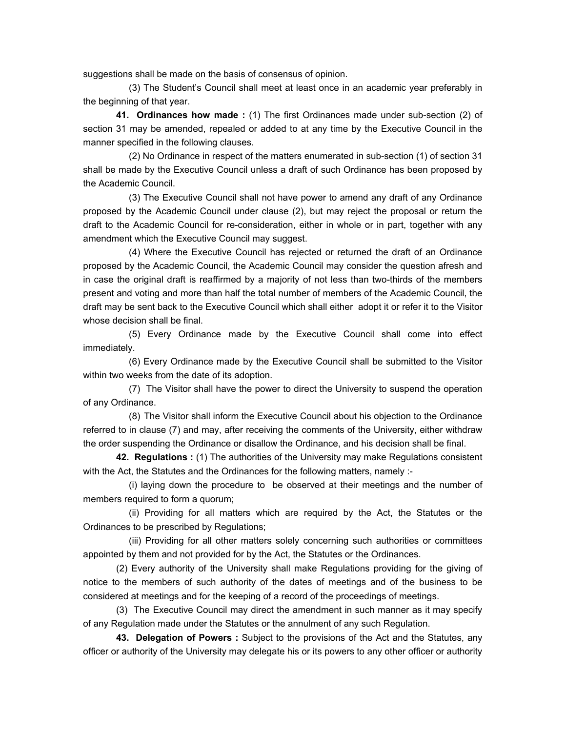suggestions shall be made on the basis of consensus of opinion.

 (3) The Student's Council shall meet at least once in an academic year preferably in the beginning of that year.

 **41. Ordinances how made :** (1) The first Ordinances made under sub-section (2) of section 31 may be amended, repealed or added to at any time by the Executive Council in the manner specified in the following clauses.

 (2) No Ordinance in respect of the matters enumerated in sub-section (1) of section 31 shall be made by the Executive Council unless a draft of such Ordinance has been proposed by the Academic Council.

 (3) The Executive Council shall not have power to amend any draft of any Ordinance proposed by the Academic Council under clause (2), but may reject the proposal or return the draft to the Academic Council for re-consideration, either in whole or in part, together with any amendment which the Executive Council may suggest.

 (4) Where the Executive Council has rejected or returned the draft of an Ordinance proposed by the Academic Council, the Academic Council may consider the question afresh and in case the original draft is reaffirmed by a majority of not less than two-thirds of the members present and voting and more than half the total number of members of the Academic Council, the draft may be sent back to the Executive Council which shall either adopt it or refer it to the Visitor whose decision shall be final.

 (5) Every Ordinance made by the Executive Council shall come into effect immediately.

 (6) Every Ordinance made by the Executive Council shall be submitted to the Visitor within two weeks from the date of its adoption.

 (7) The Visitor shall have the power to direct the University to suspend the operation of any Ordinance.

 (8) The Visitor shall inform the Executive Council about his objection to the Ordinance referred to in clause (7) and may, after receiving the comments of the University, either withdraw the order suspending the Ordinance or disallow the Ordinance, and his decision shall be final.

 **42. Regulations :** (1) The authorities of the University may make Regulations consistent with the Act, the Statutes and the Ordinances for the following matters, namely :-

 (i) laying down the procedure to be observed at their meetings and the number of members required to form a quorum;

 (ii) Providing for all matters which are required by the Act, the Statutes or the Ordinances to be prescribed by Regulations;

 (iii) Providing for all other matters solely concerning such authorities or committees appointed by them and not provided for by the Act, the Statutes or the Ordinances.

 (2) Every authority of the University shall make Regulations providing for the giving of notice to the members of such authority of the dates of meetings and of the business to be considered at meetings and for the keeping of a record of the proceedings of meetings.

 (3) The Executive Council may direct the amendment in such manner as it may specify of any Regulation made under the Statutes or the annulment of any such Regulation.

 **43. Delegation of Powers :** Subject to the provisions of the Act and the Statutes, any officer or authority of the University may delegate his or its powers to any other officer or authority